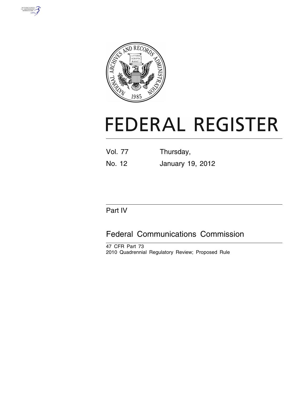



# **FEDERAL REGISTER**

| Vol. 77 | Thursday, |
|---------|-----------|
|         |           |

No. 12 January 19, 2012

# Part IV

# Federal Communications Commission

47 CFR Part 73 2010 Quadrennial Regulatory Review; Proposed Rule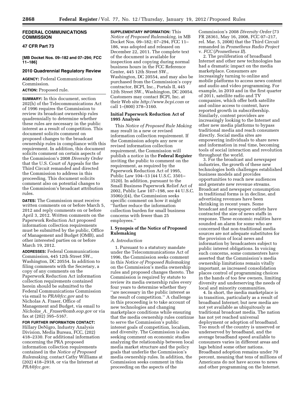# **FEDERAL COMMUNICATIONS COMMISSION**

# **47 CFR Part 73**

**[MB Docket Nos. 09–182 and 07–294; FCC 11–186]** 

# **2010 Quadrennial Regulatory Review**

**AGENCY:** Federal Communications Commission.

# **ACTION:** Proposed rule.

**SUMMARY:** In this document, section 202(h) of the Telecommunications Act of 1996 requires the Commission to review its broadcast ownership rules quadrennially to determine whether these rules are necessary in the public interest as a result of competition. This document solicits comment on proposed changes to the broadcast ownership rules in compliance with this requirement. In addition, this document solicits comment on certain aspects of the Commission's 2008 *Diversity Order*  that the U.S. Court of Appeals for the Third Circuit remanded and directed the Commission to address in this proceeding. This document solicits comment also on potential changes to the Commission's broadcast attribution rules.

**DATES:** The Commission must receive written comments on or before March 5, 2012 and reply comments on or before April 3, 2012. Written comments on the Paperwork Reduction Act proposed information collection requirements must be submitted by the public, Office of Management and Budget (OMB), and other interested parties on or before March 19, 2012.

**ADDRESSES:** Federal Communications Commission, 445 12th Street SW., Washington, DC 20554. In addition to filing comments with the Secretary, a copy of any comments on the Paperwork Reduction Act information collection requirements contained herein should be submitted to the Federal Communications Commission via email to *[PRA@fcc.gov](mailto:PRA@fcc.gov)* and to Nicholas A. Fraser, Office of Management and Budget, via email to *Nicholas*\_*A.*\_*[Fraser@omb.eop.gov](mailto:Nicholas_A._Fraser@omb.eop.gov)* or via fax at  $(20\overline{2})$  395–5167.

#### **FOR FURTHER INFORMATION CONTACT:**

Hillary DeNigro, Industry Analysis Division, Media Bureau, FCC, (202) 418–2330. For additional information concerning the PRA proposed information collection requirements contained in the *Notice of Proposed Rulemaking,* contact Cathy Williams at (202) 418–2918, or via the Internet at *[PRA@fcc.gov.](mailto:PRA@fcc.gov)* 

**SUPPLEMENTARY INFORMATION:** This *Notice of Proposed Rulemaking,* in MB Docket Nos. 09–182; 07–294, FCC 11– 186, was adopted and released on December 22, 2011. The complete text of the document is available for inspection and copying during normal business hours in the FCC Reference Center, 445 12th Street SW., Washington, DC 20554, and may also be purchased from the Commission's copy contractor, BCPI, Inc., Portals II, 445 12th Street SW., Washington, DC 20054. Customers may contact BCPI, Inc. at their Web site *<http://www.bcpi.com>* or call 1–(800) 378–3160.

# **Initial Paperwork Reduction Act of 1995 Analysis**

This *Notice of Proposed Rule Making*  may result in a new or revised information collection requirement. If the Commission adopts any new or revised information collection requirement, the Commission will publish a notice in the **Federal Register**  inviting the public to comment on the requirement, as required by the Paperwork Reduction Act of 1995, Public Law 104–13 (44 U.S.C. 3501– 3520). In addition, pursuant to the Small Business Paperwork Relief Act of 2002, Public Law 107–198, see 44 U.S.C. 3506(c)(4), the Commission seeks specific comment on how it might ''further reduce the information collection burden for small business concerns with fewer than 25 employees.''

# **I. Synopsis of the Notice of Proposed Rulemaking**

#### *A. Introduction*

1. Pursuant to a statutory mandate under the Telecommunications Act of 1996, the Commission seeks comment in this *Notice of Proposed Rulemaking*  on the Commission's media ownership rules and proposed changes thereto. The Commission is required by statute to review its media ownership rules every four years to determine whether they ''are necessary in the public interest as the result of competition.'' A challenge in this proceeding is to take account of new technologies and changing marketplace conditions while ensuring that the media ownership rules continue to serve the Commission's public interest goals of competition, localism, and diversity. The Commission is also seeking comment on economic studies analyzing the relationship between local media market structure and the policy goals that underlie the Commission's media ownership rules. In addition, the Commission seeks comment in this proceeding on the aspects of the

Commission's 2008 *Diversity Order* (73 FR 28361, May 16, 2008, FCC 07–217, rel. Mar. 5, 2008) that the Third Circuit remanded in *Prometheus Radio Project*  v. *FCC* (*Prometheus II*).

2. The proliferation of broadband Internet and other new technologies has had a dramatic impact on the media marketplace. Consumers are increasingly turning to online and mobile platforms to access news content and audio and video programming. For example, in 2010 and in the first quarter of 2011, satellite radio and TV companies, which offer both satellite and online access to content, have reported growth in subscribership. Similarly, content providers are increasingly looking to the Internet and other new media platforms to bypass traditional media and reach consumers directly. Social media sites are empowering individuals to share news and information in real time, becoming tools of social interaction and revolution throughout the world.

3. For the broadcast and newspaper industries, the growth of these new technologies both challenges established business models and provides opportunities to reach new audiences and generate new revenue streams. Broadcast and newspaper consumption in traditional forms is in decline, and advertising revenues have been shrinking in recent years. Some broadcast and newspaper outlets have contracted the size of news staffs in response. These economic realities have sounded an alarm for some who are concerned that non-traditional media sources are not adequate substitutes for the provision of local news and information by broadcasters subject to public interest obligations. In voicing such concerns, some commenters have asserted that the Commission's media ownership limitations remain vitally important, as increased consolidation places control of programming choices in the hands of too few owners, limiting diversity and underserving the needs of local and minority communities.

4. In short, the media marketplace is in transition, particularly as a result of broadband Internet; but new media are not yet available as ubiquitously as traditional broadcast media. The nation has not yet reached universal deployment or adoption of broadband. Too much of the country is unserved or underserved by broadband, and the average broadband speed available to consumers varies in different areas and lags behind some other nations. Broadband adoption remains under 70 percent, meaning that tens of millions of Americans do not have access to news and other programming on the Internet.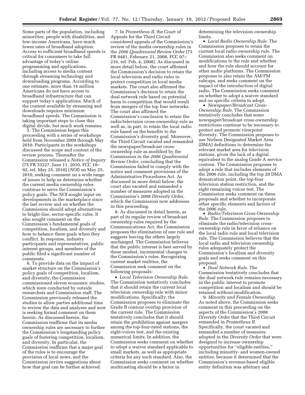Some parts of the population, including minorities, people with disabilities, and low-income Americans, have much lower rates of broadband adoption. Access to sufficient broadband speeds is critical for consumers to take full advantage of today's online programming and applications, including access to media content through streaming technology and downloading programs. According to one estimate, more than 14 million Americans do not have access to broadband infrastructure that can support today's applications. Much of the content available by streaming and downloads requires minimum broadband speeds. The Commission is taking important steps to close this digital divide, but much work remains.

5. The Commission began this proceeding with a series of workshops held from November 2009 through May 2010. Participants in the workshops discussed the scope and content of the review process. Thereafter the Commission released a *Notice of Inquiry*  (75 FR 33227, June 11, 2010, FCC 10– 92, rel. May 25, 2010) (*NOI*) on May 25, 2010, seeking comment on a wide range of issues to help us determine whether the current media ownership rules continue to serve the Commission's policy goals. The *NOI* sought input on developments in the marketplace since the last review and on whether the Commission should adopt alternatives to bright-line, sector-specific rules. It also sought comment on the Commission's fundamental goals of competition, localism, and diversity and how to balance these goals when they conflict. In response, industry participants and representatives, public interest groups, and members of the public filed a significant number of comments.

6. To provide data on the impact of market structure on the Commission's policy goals of competition, localism, and diversity, the Commission commissioned eleven economic studies, which were conducted by outside researchers and Commission staff. The Commission previously released the studies to allow parties additional time to review the data and analyses and now is seeking formal comment on them herein. As discussed herein, the Commission reaffirms that its media ownership rules are necessary to further the Commission's longstanding policy goals of fostering competition, localism, and diversity. In particular, the Commission reaffirms that a major goal of the rules is to encourage the provision of local news, and the Commission invites suggestions about how that goal can be further achieved.

7. In *Prometheus II,* the Court of Appeals for the Third Circuit considered appeals of the Commission's review of the media ownership rules in the *2006 Quadrennial Review Order* (73 FR 9481, February 21, 2008, FCC 07– 216, rel. Feb. 4, 2008). As discussed in more detail below, the court affirmed the Commission's decision to retain the local television and radio rules to protect competition in local media markets. The court also affirmed the Commission's decision to retain the dual network rule based on potential harm to competition that would result from mergers of the top four networks. The court also affirmed the Commission's conclusion to retain the radio/television cross-ownership rule as well as, in part, to retain the local radio rule based on the benefits to the Commission's diversity goal. Moreover, the Third Circuit vacated and remanded the newspaper/broadcast crossownership rule as modified by the Commission in the *2006 Quadrennial Review Order,* concluding that the Commission failed to comply with the notice and comment provisions of the Administrative Procedures Act. As discussed in more detail below, the court also vacated and remanded a number of measures adopted in the Commission's 2008 *Diversity Order,*  which the Commission now addresses in this proceeding.

8. As discussed in detail herein, as part of its regular review of broadcast ownership rules required by the Communications Act, the Commission proposes the elimination of one rule and suggests leaving the others largely unchanged. The Commission believes that the public interest is best served by these modest, incremental changes to the Commission's rules. Recognizing current market realities, the Commission seek comment on the following proposals:

• *Local Television Ownership Rule.*  The Commission tentatively concludes that it should retain the current local television ownership rule with minor modifications. Specifically, the Commission proposes to eliminate the Grade B contour overlap provision of the current rule. The Commission tentatively concludes that it should retain the prohibition against mergers among the top-four-rated stations, the eight-voices test, and the existing numerical limits. In addition, the Commission seeks comment on whether to adopt a waiver standard applicable to small markets, as well as appropriate criteria for any such standard. Also, the Commission seeks comment on whether multicasting should be a factor in

determining the television ownership limits.

• *Local Radio Ownership Rule.* The Commission proposes to retain the current local radio ownership rule. The Commission also seeks comment on modifications to the rule and whether and how the rule should account for other audio platforms. The Commission proposes to also retain the AM/FM subcaps, and seeks comment on the impact of the introduction of digital radio. The Commission seeks comment on whether to adopt a waiver standard and on specific criteria to adopt.

• *Newspaper/Broadcast Cross-Ownership Rule.* The Commission tentatively concludes that some newspaper/broadcast cross-ownership restrictions continue to be necessary to protect and promote viewpoint diversity. The Commission proposes to use Nielsen Designated Market Area (DMA) definitions to determine the relevant market area for television stations, given the lack of a digital equivalent to the analog Grade A service contour. The Commission proposes to adopt a rule that includes elements of the 2006 rule, including the top 20 DMA demarcation point, the top-four television station restriction, and the eight remaining voices test. The Commission seeks comment on these proposals and whether to incorporate other specific elements and factors of the 2006 rule.

• *Radio/Television Cross-Ownership Rule.* The Commission proposes to eliminate the radio/television crossownership rule in favor of reliance on the local radio rule and local television rule. The Commission believes that the local radio and television ownership rules adequately protect the Commission's localism and diversity goals and seeks comment on this proposal.

• *Dual Network Rule.* The Commission tentatively concludes that the dual network rule remains necessary in the public interest to promote competition and localism and should be retained without modification.

9. *Minority and Female Ownership.*  As noted above, the Commission seeks comment in this proceeding on the aspects of the Commission's 2008 *Diversity Order* that the Third Circuit remanded in *Prometheus II.*  Specifically, the court vacated and remanded a number of measures adopted in the *Diversity Order* that were designed to increase ownership opportunities for ''eligible entities,'' including minority- and women-owned entities, because it determined that the Commission's revenue-based eligible entity definition was arbitrary and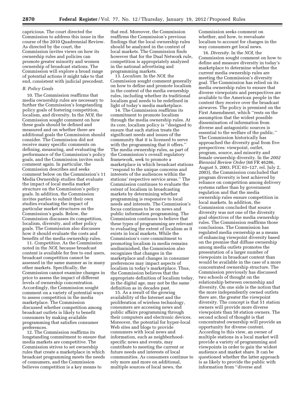capricious. The court directed the Commission to address this issue in the course of the 2010 Quadrennial Review. As directed by the court, the Commission invites views on how its ownership rules and policies can promote greater minority and women ownership of broadcast stations. The Commission will explore a broad range of potential actions it might take to that end, consistent with judicial precedent.

#### *B. Policy Goals*

10. The Commission reaffirms that media ownership rules are necessary to further the Commission's longstanding policy goals of fostering competition, localism, and diversity. In the *NOI,* the Commission sought comment on how these goals should be defined and measured and on whether there are additional goals the Commission should consider. The Commission did not receive many specific comments on defining, measuring, and evaluating the performance of the Commission's policy goals, and the Commission invites such comment again. In particular, the Commission describes and seeks comment below on the Commission's 11 Media Ownership studies that evaluate the impact of local media market structure on the Commission's policy goals. In addition, the Commission invites parties to submit their own studies evaluating the impact of particular market structures on the Commission's goals. Below, the Commission discusses its competition, localism, diversity, and other policy goals. The Commission also discusses how it should evaluate the costs and benefits of the media ownership rules.

11. *Competition.* As the Commission noted in the *NOI,* because broadcast content is available for free to end users, broadcast competition cannot be assessed in the same manner as in many other markets. Specifically, the Commission cannot examine changes in price to assess the impact of different levels of ownership concentration. Accordingly, the Commission sought comment on a variety of potential ways to assess competition in the media marketplace. The Commission discussed whether competition among broadcast outlets is likely to benefit consumers by making available programming that satisfies consumer preferences.

12. The Commission reaffirms its longstanding commitment to ensure that media markets are competitive. The Commission strives to set ownership rules that create a marketplace in which broadcast programming meets the needs of consumers, and the Commission believes competition is a key means to

that end. Moreover, the Commission reaffirms the Commission's previous findings that the local ownership rules should be analyzed in the context of local markets. The Commission finds however that for the Dual Network rule, competition is appropriately analyzed in the national advertising and programming markets.

13. *Localism.* In the *NOI,* the Commission sought comment generally on how to define and promote localism in the context of the media ownership rules, including whether its traditional localism goal needs to be redefined in light of today's media marketplace.

14. The Commission reaffirms its commitment to promote localism through the media ownership rules. At its core, localism policy is ''designed to ensure that each station treats the significant needs and issues of the community that it is licensed to serve with the programming that it offers.' The media ownership rules, as part of the Commission's overall regulatory framework, seek to promote a marketplace in which broadcast stations ''respond to the unique concerns and interests of the audiences within the stations' respective service areas.'' The Commission continues to evaluate the extent of localism in broadcasting markets by determining whether programming is responsive to local needs and interests. The Commission's focus continues to be on news and public information programming. The Commission continues to believe that these types of programming are relevant to evaluating the extent of localism as it exists in local markets. While the Commission's core commitment to promoting localism in media remains undiminished, the Commission also recognizes that changes in the marketplace and changes in consumer preferences may impact aspects of localism in today's marketplace. Thus, the Commission believes that the appropriate definition of localism today, in the digital age, may not be the same definition as in decades past.

15. As a result of the growing availability of the Internet and the proliferation of wireless technology, consumers are accessing news and public affairs programming through their computers and electronic devices. Moreover, the potential for hyper-local Web sites and blogs to provide consumers with local news and information, such as neighborhoodspecific news and events, may contribute to meeting the current or future needs and interests of local communities. As consumers continue to rely more and more on additional, multiple sources of local news, the

Commission seeks comment on whether, and how, to reevaluate localism to account for changes in the way consumers get local news.

16. *Diversity.* In the *NOI,* the Commission sought comment on how to define and measure diversity in today's marketplace to determine whether the current media ownership rules are meeting the Commission's diversity goal. The Commission has relied on its media ownership rules to ensure that diverse viewpoints and perspectives are available to the American people in the content they receive over the broadcast airwaves. The policy is premised on the First Amendment, which ''rests on the assumption that the widest possible dissemination of information from diverse and antagonistic sources is essential to the welfare of the public.'' The Commission historically has approached the diversity goal from five perspectives: viewpoint, outlet, program, source, and minority and female ownership diversity. In the *2002 Biennial Review Order* (68 FR 46286, August 5, 2003, FCC 03–127, rel. July 2, 2003), the Commission concluded that program diversity is best achieved by reliance on competition among delivery systems rather than by government regulation and that the media ownership rules ensure competition in local markets. In addition, the Commission concluded that source diversity was not one of the diversity goal objectives of the media ownership rules. The Commission reaffirms those conclusions. The Commission has regulated media ownership as a means of enhancing viewpoint diversity based on the premise that diffuse ownership among media outlets promotes the presentation of a larger number of viewpoints in broadcast content than would be available in the case of a more concentrated ownership structure. The Commission previously has discussed two schools of thought on the relationship between ownership and diversity. On one side is the notion that the more independently owned outlets there are, the greater the viewpoint diversity. The concept is that 51 station owners will provide more diverse viewpoints than 50 station owners. The second school of thought is that concentrated ownership will provide an opportunity for diverse content. According to this view, an owner of multiple stations in a local market will provide a variety of programming and viewpoints in order to gain the widest audience and market share. It can be questioned whether the latter approach is as likely to provide the public with information from ''diverse and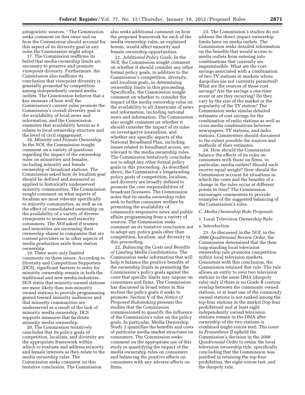antagonistic sources.'' The Commission seeks comment on this issue and on how the Commission should account for this aspect of its diversity goal in any rules the Commission might adopt.

17. The Commission reaffirms its belief that media ownership limits are necessary to preserve and promote viewpoint diversity. Furthermore, the Commission also reaffirms its conclusion that viewpoint diversity is generally promoted by competition among independently owned media outlets. The Commission believes that a key measure of how well the Commission's current rules promote the Commission's overall diversity goal is the availability of local news and information, and the Commission examines that availability herein as it relates to local ownership structure and the level of civil engagement.

18. *Minority and Female Ownership.*  In the *NOI,* the Commission sought comment on a variety of questions regarding the impact of the ownership rules on minorities and females, including minority and female ownership of broadcast stations. The Commission asked how its localism goal should be defined and measured as applied to historically underserved minority communities. The Commission sought comment on what aspects of localism are most relevant specifically to minority communities, as well as on the effect of consolidated ownership on the availability of a variety of diverse viewpoints to women and minority consumers. The *NOI* asked if women and minorities are increasing their ownership shares in companies that are content providers or in other aspects of media production aside from station ownership.

19. There were only limited comments on these issues. According to Diversity and Competition Supporters (DCS), significant barriers to entry for minority ownership remain in both the traditional and new media industries. DCS states that minority-owned stations are more likely than non-minority owned stations to provide programming geared toward minority audiences and that minority communities are underserved as a result of the lack of minority media ownership. DCS supports measures that facilitate minority media ownership.

20. The Commission tentatively concludes that its policy goals of competition, localism, and diversity are the appropriate framework within which to evaluate and address minority and female interests as they relate to the media ownership rules. The Commission seeks comment on this tentative conclusion. The Commission

also seeks additional comment on how the proposed framework for each of the media ownership rules, as explained herein, would affect minority and female ownership opportunities.

21. *Additional Policy Goals.* In the *NOI,* the Commission sought comment on whether it should consider any other formal policy goals, in addition to the Commission's competition, diversity, and localism goals, in determining ownership limits in this proceeding. Specifically, the Commission sought comment on whether to consider the impact of the media ownership rules on the availability to all Americans of news and information, including national news and information. The Commission also sought comment on whether it should consider the impact of its rules on investigative journalism, and whether any specific aspects of the National Broadband Plan, including issues related to broadband access, are relevant to the media ownership rules. The Commission tentatively concludes not to adopt any other formal policy goals in this proceeding. As described above, the Commission's longstanding policy goals of competition, localism, and diversity are broadly defined to promote the core responsibilities of broadcast licensees. The Commission notes that its media ownership rules seek to further consumer welfare by promoting the availability of community-responsive news and public affairs programming from a variety of sources. The Commission seeks comment on its tentative conclusion not to adopt any policy goals other than competition, localism, and diversity in this proceeding.

22. *Balancing the Costs and Benefits of Limiting Media Combinations.* The Commission seeks information that will help it balance the positive benefits of the ownership limits in promoting the Commission's policy goals against the costs that specific limits may impose on consumers and firms. The Commission has discussed in broad terms in this section the policy goals it seeks to promote. Section V of the *Notice of Proposed Rulemaking* presents the studies that the Commission commissioned to quantify the influence of the Commission's rules on the policy goals. In particular, Media Ownership Study 2 quantifies the benefits and costs of particular media market structures on consumers. The Commission seeks comment on the appropriate use of this study in quantifying the impact of the media ownership rules on consumers and balancing the positive effects on consumers with any adverse effects on firms.

23. The Commission's studies do not address the direct impact ownership limits have on media outlets. The Commission seeks detailed information on the benefits that would accrue to media outlets from entering into combinations that currently are impermissible. What are the costsavings associated with a combination of two TV stations in markets where duopolies are not currently permitted? What are the sources of those cost savings? Are the savings a one-time event or are they recurring? Do they vary by the size of the market or the popularity of the TV station? The Commission seeks similar detailed estimates of cost savings for the combination of radio stations as well as cross-media combinations between newspapers, TV stations, and radio stations. Commenters should document to the extent possible the sources and methods of their estimates.

24. How should the Commission balance the effects of its rules on consumers with those on firms, in particular, media outlets? Should each receive equal weight? How should the Commission account for situations in which the costs and the benefits of a change in the rules occur at different points in time? The Commission encourages commenters to provide examples of the suggested balancing of the Commission's rules.

#### *C. Media Ownership Rule Proposals*

1. Local Television Ownership Rule

#### a. Introduction

25. As discussed in the *NOI,* in the *2006 Quadrennial Review Order,* the Commission determined that the then long-standing local television ownership rule promotes competition within local television markets. Consistent with this conclusion, the Commission retained that rule. The rule allows an entity to own two television stations in the same DMA (duopoly rule) only if there is no Grade B contour overlap between the commonly owned stations, or at least one of the commonly owned stations is not ranked among the top-four stations in the market (top-four prohibition) and at least eight independently owned television stations remain in the DMA after ownership of the two stations is combined (eight-voices test). The court in *Prometheus II* upheld the Commission's decision in the *2006 Quadrennial Order* to retain the local television ownership rule, specifically concluding that the Commission was justified in retaining the top-four prohibition, the eight-voices test, and the duopoly rule.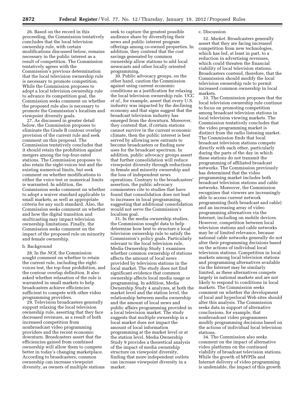26. Based on the record in this proceeding, the Commission tentatively concludes that the local television ownership rule, with certain modifications discussed below, remains necessary in the public interest as a result of competition. The Commission tentatively agrees with the Commission's previous determination that the local television ownership rule is necessary to promote competition. While the Commission proposes to adopt a local television ownership rule to advance its competition goal, the Commission seeks comment on whether the proposed rule also is necessary to promote the Commission's localism and viewpoint diversity goals.

27. As discussed in greater detail below, the Commission proposes to eliminate the Grade B contour overlap provision of the current rule and seek comment on this proposal. The Commission tentatively concludes that it should retain the prohibition against mergers among the top-four-rated stations. The Commission proposes to also retain the eight-voices test and the existing numerical limits, but seek comment on whether modifications to either the voice test or numerical limits is warranted. In addition, the Commission seeks comment on whether to adopt a waiver standard applicable to small markets, as well as appropriate criteria for any such standard. Also, the Commission seeks comment on whether and how the digital transition and multicasting may impact television ownership limitations. Finally, the Commission seeks comment on the impact of the proposed rule on minority and female ownership.

#### b. Background

28. In the *NOI,* the Commission sought comment on whether to retain the current rule, including the eightvoices test, the top-four prohibition, and the contour overlap definition. It also asked whether relaxation of the rule is warranted in small markets to help broadcasters achieve efficiencies sufficient to compete with other video programming providers.

29. Television broadcasters generally support relaxing the local television ownership rule, asserting that they face decreased revenues, as a result of both increased competition from nonbroadcast video programming providers and the recent economic downturn. Broadcasters assert that the efficiencies gained from combined ownership will allow them to compete better in today's changing marketplace. According to broadcasters, common ownership can increase viewpoint diversity, as owners of multiple stations

seek to capture the greatest possible audience share by diversifying their news and public interest program offerings among co-owned properties. In addition, they contend that the cost savings generated by common ownership allow stations to add local newscasts and other locally oriented programming.

30. Public advocacy groups, on the other hand, caution the Commission against using current economic conditions as a justification for relaxing the local television ownership rule. UCC *et al.,* for example, assert that every U.S. industry was impacted by the declining economy and that signs suggest that the broadcast television industry has emerged from the downturn. Moreover, they contend that, if certain stations cannot survive in the current economic climate, then the public interest is best served by allowing new entrants to become broadcasters or finding new uses for the broadcast spectrum. In addition, public advocacy groups assert that further consolidation will reduce viewpoint diversity through reductions in female and minority ownership and the loss of independent news operations. Contrary to the broadcasters' assertion, the public advocacy commenters cite to studies that have found that consolidation does not lead to increases in local programming, suggesting that additional consolidation would not serve the Commission's localism goal.

31. In the media ownership studies, the Commission sought data to help determine how best to structure a local television ownership rule to satisfy the Commission's policy goals. Particularly relevant to the local television rule, Media Ownership Study 1 examines whether common ownership of stations affects the amount of local news provided by television stations in the local market. The study does not find significant evidence that common ownership affects local media usage or programming. In addition, Media Ownership Study 4 analyzes, at both the market level and the station level, the relationship between media ownership and the amount of local news and public affairs programming provided in a local television market. The study suggests that multiple ownership in a local market does not impact the amount of local information programming at the market level or at the station level. Media Ownership Study 9 provides a theoretical analysis of the impact of media ownership structure on viewpoint diversity, finding that more independent outlets can increase viewpoint diversity in a market.

# c. Discussion

32. *Market.* Broadcasters generally assert that they are facing increased competition from new technologies, which has led, at least in part, to a reduction in advertising revenues, which could threaten the financial viability of local television stations. Broadcasters contend, therefore, that the Commission should modify the local television ownership rule to permit increased common ownership in local markets.

33. The Commission proposes that the local television ownership rule continue to focus on promoting competition among broadcast television stations in local television viewing markets. The Commission tentatively concludes that the video programming market is distinct from the radio listening market. The Commission finds that local broadcast television stations compete directly with each other, particularly during the parts of the day in which these stations do not transmit the programming of affiliated broadcast networks. The Commission previously has determined that the video programming market includes both broadcast television stations and cable networks. Moreover, the Commission recognizes that viewers are increasingly able to access current network programming (both broadcast and cable) and an increasing array of video programming alternatives via the Internet, including on mobile devices. However, competition between local television stations and cable networks may be of limited relevance, because national cable networks generally do not alter their programming decisions based on the actions of individual local television stations. Competition in local markets among local television stations and programming alternatives available via the Internet may be similarly limited, as these alternatives compete largely in national markets and are not likely to respond to conditions in local markets. The Commission seeks comment on whether the development of local and hyperlocal Web sites should alter this analysis. The Commission seeks data in support of alternative conclusions, for example, that nonbroadcast video programmers modify programming decisions based on the actions of individual local television stations.

34. The Commission also seeks comment on the impact of alternative video platforms on the continued viability of broadcast television stations. While the growth of MVPDs and Internet delivery of video programming is undeniable, the impact of this growth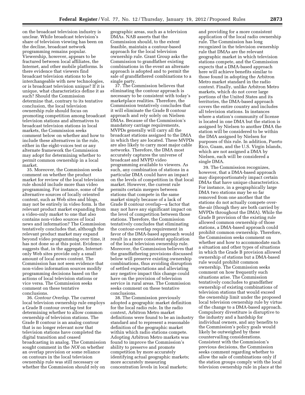on the broadcast television industry is unclear. While broadcast television's share of television viewing has been on the decline, broadcast network programming remains popular. Viewership, however, appears to be fractured between local affiliates, the Internet, and other mobile platforms. Is there evidence that viewers find broadcast television stations to be interchangeable with new technologies, or is broadcast television unique? If it is unique, what characteristics define it as such? Should the Commission determine that, contrary to its tentative conclusion, the local television ownership rule should focus on promoting competition among broadcast television stations and alternatives to broadcast television stations in local markets, the Commission seeks comment below on whether and how to include these alternatives in the rule, either in the eight-voices test or any alternate framework the Commission may adopt for determining whether to permit common ownership in a local market.

35. Moreover, the Commission seeks comment on whether the product market for review of the local television rule should include more than video programming. For instance, some of the alternative sources of locally oriented content, such as Web sites and blogs, may not be entirely in video form. Is the relevant product market expanding from a video-only market to one that also contains non-video sources of local news and information? The Commission tentatively concludes that, although the relevant product market may expand beyond video programming over time, it has not done so at this point. Evidence suggests that, in the aggregate, Internetonly Web sites provide only a small amount of local news content. The Commission has not seen evidence that non-video information sources modify programming decisions based on the actions of local television stations or vice versa. The Commission seeks comment on these tentative conclusions.

36. *Contour Overlap.* The current local television ownership rule employs a Grade B contour overlap test for determining whether to allow common ownership of television stations. The Grade B contour is an analog contour that is no longer relevant now that television stations have completed the digital transition and ceased broadcasting in analog. The Commission sought comment in the *NOI* on whether an overlap provision or some reliance on contours in the local television ownership rule was still necessary or whether the Commission should rely on

geographic areas, such as a television DMAs. NAB asserts that the Commission should, to the extent feasible, maintain a contour-based approach for the local television ownership rule. Grant Group asks the Commission to grandfather existing combinations in the event an alternate approach is adopted and to permit the sale of grandfathered combinations to a single party.

37. The Commission believes that eliminating the contour approach is necessary to be consistent with today's marketplace realities. Therefore, the Commission tentatively concludes that it will eliminate the Grade B contour approach and rely solely on Nielsen DMAs. Because of the Commission's mandatory carriage requirements, MVPDs generally will carry all the broadcast stations assigned to the DMA in which they are located. These MVPDs are also likely to carry most major cable networks. Therefore, the DMA most accurately captures the universe of broadcast and MVPD video programming available to viewers. As such, any combination of stations in a particular DMA could have an impact on the levels of competition in that local market. However, the current rule permits certain mergers between stations that compete in the same market simply because of a lack of Grade B contour overlap—a factor that may not have any significant impact on the level of competition between those stations. Therefore, the Commission tentatively concludes that eliminating the contour-overlap requirement in favor of the DMA-based approach would result in a more consistent application of the local television ownership rule. Moreover, the Commission believes that the grandfathering provisions discussed below will preserve existing ownership combinations, thus avoiding disruption of settled expectations and alleviating any negative impact this change could have on the provision of television service in rural areas. The Commission seeks comment on these tentative conclusions.

38. The Commission previously adopted a geographic market definition for the local radio rule. In the radio context, Arbitron Metro market definitions were found to be an industry standard and to represent a reasonable definition of the geographic market within which radio stations compete. Adopting Arbitron Metro markets was found to improve the Commission's ability to preserve and promote competition by more accurately identifying actual geographic markets; more accurately measuring concentration levels in local markets;

and providing for a more consistent application of the local radio ownership rule. The Commission has long recognized in the television ownership rule that DMAs are the relevant geographic market in which television stations compete, and the Commission expects that a DMA-based approach here will achieve benefits similar to those found in adopting the Arbitron Metro market standard in the radio context. Finally, unlike Arbitron Metro markets, which do not cover large portions of the United States and its territories, the DMA-based approach covers the entire country and includes all television stations. In instances where a station's community of license is located in one DMA but the station is assigned by Nielsen to another DMA the station will be considered to be within the DMA assigned by Nielsen for purposes of this rule. In addition, Puerto Rico, Guam, and the U.S. Virgin Islands, which are not assigned a DMA by Nielsen, each will be considered a single DMA.

39. The Commission recognizes, however, that a DMA-based approach may disproportionately impact certain DMAs that have unique characteristics. For instance, in a geographically large DMA two stations may be so far removed from one another that the stations do not actually compete overthe-air (though they are both carried by MVPDs throughout the DMA). While the Grade B provision of the existing rule allowed common ownership of those stations, a DMA-based approach could prohibit common ownership. Therefore, the Commission seeks comment on whether and how to accommodate such a situation and other types of situations in which the Grade B provision allowed ownership of stations but a DMA-based rule would prohibit common ownership. The Commission seeks comment on how frequently such situations arise. The Commission tentatively concludes to grandfather ownership of existing combinations of television stations that would exceed the ownership limit under the proposed local television ownership rule by virtue of the change to a DMA-based approach. Compulsory divestiture is disruptive to the industry and a hardship for individual owners, and any benefits to the Commission's policy goals would likely be outweighed by these countervailing considerations. Consistent with the Commission's previous decisions, the Commission seeks comment regarding whether to allow the sale of combinations only if the station groups comply with the local television ownership rule in place at the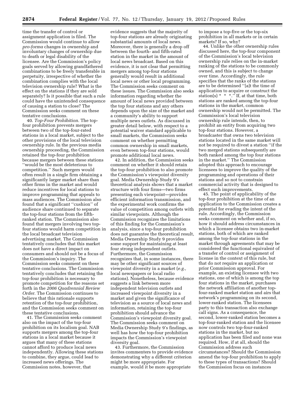time the transfer of control or assignment application is filed. The Commission would continue to allow *pro-forma* changes in ownership and involuntary changes of ownership due to death or legal disability of the licensee. Are the Commission's policy goals served by allowing grandfathered combinations to be freely transferable in perpetuity, irrespective of whether the combination complies with the local television ownership rule? What is the effect on the stations if they are sold separately? Is it possible that such a rule could have the unintended consequence of causing a station to close? The Commission seeks comment on these tentative conclusions.

40. *Top-Four Prohibition.* The topfour prohibition prevents mergers between two of the top-four-rated stations in a local market, subject to the other provisions of the local television ownership rule. In the previous media ownership proceeding, the Commission retained the top-four prohibition because mergers between these stations ''would be the most deleterious to competition.'' Such mergers would often result in a single firm obtaining a significantly larger market share than other firms in the market and would reduce incentives for local stations to improve programming that appeals to mass audiences. The Commission also found that a significant ''cushion'' of audience share continued to separate the top-four stations from the fifthranked station. The Commission also found that mergers involving two topfour stations would harm competition in the local broadcast television advertising market. The Commission tentatively concludes that this market does not have a direct impact on consumers and should not be a focus of the Commission's inquiry. The Commission seeks comment on these tentative conclusions. The Commission tentatively concludes that retaining the top-four prohibition is necessary to promote competition for the reasons set forth in the *2006 Quadrennial Review Order.* The Commission continues to believe that this rationale supports retention of the top-four prohibition, and the Commission seeks comment on these tentative conclusions.

41. The Commission seeks comment also on the impact of the top-four prohibition on its localism goal. NAB supports mergers among the top-four stations in a local market because it argues that many of these stations cannot afford to produce local news independently. Allowing these stations to combine, they argue, could lead to increased news offerings. The Commission notes, however, that

evidence suggests that the majority of top-four stations are already originating substantial amounts of local news. Moreover, there is generally a drop off between the fourth- and fifth-rated station in the market in the amount of local news broadcast. Based on this evidence, it is not clear that permitting mergers among top-four stations generally would result in additional local news or other local programming. The Commission seeks comment on these issues. The Commission also seeks information regarding whether the amount of local news provided between the top four stations and any others depends upon the size of the market and a community's ability to support multiple news outlets. As discussed in greater detail below, with respect to a potential waiver standard applicable to small markets, the Commission seeks comment on whether permitting common ownership in small markets, even between top-four stations, would promote additional local news.

42. In addition, the Commission seeks comment on whether it should retain the top-four prohibition to also promote the Commission's viewpoint diversity goal. Media Ownership Study 9's theoretical analysis shows that a market structure with four firms—two firms presenting each viewpoint—provides efficient information transmission, and the experimental work confirms the value of competition among outlets with similar viewpoints. Although the Commission recognizes the limitations of this finding for the Commission's analysis, since a top-four prohibition does not guarantee the theoretical result, Media Ownership Study 9 provides some support for maintaining at least four strong independent outlets. Furthermore, the Commission recognizes that, in some instances, there may be other significant sources of viewpoint diversity in a market (*e.g.,*  local newspapers or local radio stations). Nonetheless, because evidence suggests a link between more independent television outlets and increased viewpoint diversity in a market and given the significance of television as a source of local news and information, retaining the top-four prohibition should advance the Commission's viewpoint diversity goal. The Commission seeks comment on Media Ownership Study 9's findings, as well has how the top-four prohibition impacts the Commission's viewpoint diversity goal.

43. Furthermore, the Commission invites commenters to provide evidence demonstrating why a different criterion might be more appropriate. For example, would it be more appropriate

to impose a top-five or the top-six prohibition in all markets or in certain markets? If so, why?

44. Unlike the other ownership rules discussed here, the top-four component of the Commission's local television ownership rule relies on the in-market ranking of the stations to be commonly owned, and this is subject to change over time. Accordingly, the rule specifies that the ranks of the stations are to be determined ''[a]t the time of application to acquire or construct the station(s)  $* * ".''$  If, at that time, both stations are ranked among the top-four stations in the market, common ownership would not be permitted. The Commission's local television ownership rule intends, then, to prohibit an entity from acquiring two top-four stations. However, a broadcaster that owns two television stations located in the same market will not be required to divest a station ''if the two merged stations subsequently are both ranked among the top four stations in the market.'' The Commission adopted this approach to encourage licensees to improve the quality of the programming and operations of their stations and so not to constrain commercial activity that is designed to effect such improvements.

45. The point of applicability of the top-four prohibition at the time of an application to the Commission creates a potential for evading the intent of the rule. Accordingly, the Commission seeks comment on whether and, if so, how it should address circumstances in which a licensee obtains two in-market stations, both of which are ranked among the top-four stations in the market through agreements that may be considered the functional equivalent of a transfer of control or assignment of license in the context of this rule, but that do not require an application or prior Commission approval. For example, an existing licensee with two stations, one of which is among the top four stations in the market, purchases the network affiliation of another topfour-ranked market station and airs that network's programming on its second, lower-ranked station. The licensees party to this transaction also exchange call signs. As a consequence, the second, lower-ranked station becomes a top-four-ranked station and the licensee now controls two top-four-ranked stations in the market, but no application has been filed and none was required. How, if at all, should the Commission address such circumstances? Should the Commission amend the top-four prohibition to apply to these types of transactions? Should the Commission focus on instances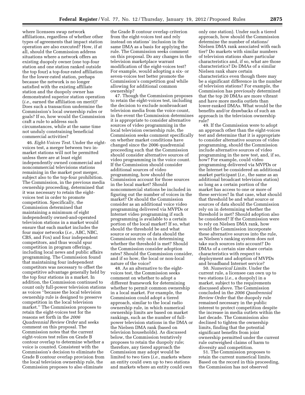where licensees swap network affiliations, regardless of whether other types of agreements that impact station operation are also executed? How, if at all, should the Commission address situations where a network offers an existing duopoly owner (one top-four station and one station ranked outside the top four) a top-four-rated affiliation for the lower-rated station, perhaps because the network is no longer satisfied with the existing affiliate station and the duopoly owner has demonstrated superior station operation (*i.e.,* earned the affiliation on merit)? Does such a transaction undermine the Commission's local ownership rules or goals? If so, how would the Commission craft a rule to address such circumstances, while at the same time not unduly constraining beneficial commercial activities?

46. *Eight-Voices Test.* Under the eightvoices test, a merger between two inmarket stations will not be permitted unless there are at least eight independently owned commercial and noncommercial televisions stations remaining in the market post merger, subject also to the top-four prohibition. The Commission, in the previous media ownership proceeding, determined that it was necessary to retain the eightvoices test in order to promote competition. Specifically, the Commission determined that maintaining a minimum of eight independently owned-and-operated television stations in a market would ensure that each market includes the four major networks (*i.e.,* ABC, NBC, CBS, and Fox) and four independent competitors, and thus would spur competition in program offerings, including local news and public affairs programming. The Commission found that maintaining four independent competitors was necessary to offset the competitive advantage generally held by the top four stations in a market. In addition, the Commission continued to count only full-power television stations as voices ''because the local television ownership rule is designed to preserve competition in the local television market.'' The Commission proposes to retain the eight-voices test for the reasons set forth in the *2006 Quadrennial Review Order* and seeks comment on this proposal. The Commission notes that the current eight-voices test relies on Grade B contour overlap to determine whether a voice is counted. Consistent with the Commission's decision to eliminate the Grade B contour overlap provision from the local television ownership rule, the Commission proposes to also eliminate

the Grade B contour overlap criterion from the eight-voices test and rely instead on stations' inclusion in the same DMA as a basis for applying the rule. The Commission seeks comment on this proposal. Do any changes in the television marketplace warrant modification of the eight-voices test? For example, would adopting a six- or seven-voices test better promote the Commission's competition goal while allowing for additional common ownership?

47. Though the Commission proposes to retain the eight-voices test, including the decision to exclude nonbroadcast television media from the voice count, in the event the Commission determines it is appropriate to consider alternative sources of video programming in the local television ownership rule, the Commission seeks comment specifically on whether market conditions have changed since the 2006 quadrennial proceeding such that the Commission should consider alternative sources of video programming in the voice count. If the Commission should consider additional sources of video programming, how should the Commission account for those sources in the local market? Should noncommercial stations be included in figuring out the number of voices in the market? Or should the Commission consider as an additional voice video programming delivered via MVPDs or Internet video programming if such programming is available to a certain portion of the local market? If so, what should the threshold be and what source or sources of data should the Commission rely on in determining whether the threshold is met? Should the Commission consider adoption rates? Should the Commission consider, and if so how, the local or non-local nature of the voice?

48. As an alternative to the eightvoices test, the Commission seeks comment on whether to adopt a different framework for determining whether to permit common ownership in a local market. For example, the Commission could adopt a tiered approach, similar to the local radio ownership rule, in which numerical ownership limits are based on market rankings, such as the number of fullpower television stations in the DMA or the Nielsen DMA rank (based on television households). As discussed below, the Commission tentatively proposes to retain the duopoly rule; therefore, any tiered approach the Commission may adopt would be limited to two tiers (*i.e.,* markets where an entity could own up to two stations and markets where an entity could own

only one station). Under such a tiered approach, how should the Commission determine the number of stations/ Nielsen DMA rank associated with each tier? Do markets with similar numbers of television stations share particular characteristics and, if so, what are those characteristics? Do DMAs of a similar Nielsen rank share certain characteristics even though there may be a significant difference in the number of television stations? For example, the Commission has previously determined that the top 20 DMAs are more vibrant and have more media outlets than lower-ranked DMAs. What would be the benefits and/or drawbacks of such an approach in the television ownership rule?

49. If the Commission were to adopt an approach other than the eight-voices test and determine that it is appropriate to consider alternative sources of video programming, should the Commission include alternative sources of video programming in the new test, and, if so, how? For example, could video programming delivered via MVPDs or the Internet be considered an additional market participant (*i.e.,* the same as an additional broadcast television station) so long as a certain portion of the market has access to one or more of these services? In that case, what should that threshold be and what source or sources of data should the Commission rely on in determining whether the threshold is met? Should adoption also be considered? If the Commission were to rely on Nielsen DMA rank, how would the Commission incorporate these alternative sources into the rule, as Nielsen's ranking system does not take such sources into account? Do DMAs of a certain size share certain characteristics with respect to deployment and adoption of MVPDs and broadband Internet service?

50. *Numerical Limits.* Under the current rule, a licensee can own up to two stations (*i.e.,* a duopoly) in a market, subject to the requirements discussed above. The Commission concluded in the *2006 Quadrennial Review Order* that the duopoly rule remained necessary in the public interest to protect competition despite the increase in media outlets within the last decade. The Commission also declined to tighten the ownership limits, finding that the potential significant benefits from joint ownership permitted under the current rule outweighed claims of harm to diversity and competition.

51. The Commission proposes to retain the current numerical limits. Based on the record in this proceeding, the Commission has not observed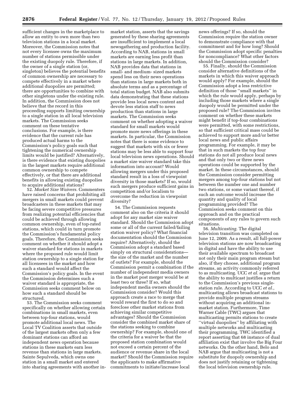sufficient changes in the marketplace to allow an entity to own more than two television stations in a local market. Moreover, the Commission notes that not every licensee owns the maximum number of stations permissible under the existing duopoly rule. Therefore, if the owner of a single station (or, singleton) believes the potential benefits of common ownership are necessary to compete effectively in a market where additional duopolies are permitted; there are opportunities to combine with other singletons under the existing rule. In addition, the Commission does not believe that the record in this proceeding supports limiting ownership to a single station in all local television markets. The Commission seeks comment on these tentative conclusions. For example, is there evidence that the current rule has produced actual harms to the Commission's policy goals such that tightening the numerical ownership limits would be justified? Alternatively, is there evidence that existing duopolies in the largest markets require additional common ownership to compete effectively, or that there are additional benefits in allowing existing duopolies to acquire additional stations?

52. *Market Size Waivers.* Commenters have raised concerns that prohibiting all mergers in small markets could prevent broadcasters in these markets that may be facing severe competitive pressures from realizing potential efficiencies that could be achieved through allowing common ownership, even of top-rated stations, which could in turn promote the Commission's fundamental policy goals. Therefore, the Commission seeks comment on whether it should adopt a waiver standard for stations in markets where the proposed rule would limit station ownership to a single station for all licensees in the market and how such a standard would affect the Commission's policy goals. In the event the Commission determines such a waiver standard is appropriate, the Commission seeks comment below on how such a standard should be structured.

53. The Commission seeks comment specifically on whether allowing certain combinations in small markets, even between top-four stations, would promote additional local news. The Local TV Coalition asserts that outside of the largest markets often only a few dominant stations can afford an independent news operation because stations in these markets earn less revenue than stations in large markets. Sainte Sepulveda, which owns one station in a small market and entered into sharing agreements with another inmarket station, asserts that the savings generated by these sharing agreements are insufficient to implement a local newsgathering and production facility. According to NAB, stations in small markets are earning less profit than stations in large markets. In addition, NAB provides data that stations in small- and medium- sized markets spend less on their news operations than stations in large markets both in absolute terms and as a percentage of total station budget. NAB also submits data demonstrating that these stations provide less local news content and devote less station staff to news production than stations in large markets. The Commission seeks comment on whether adopting a waiver standard for small markets would promote more news offerings in these markets. In particular, the Commission notes that there is some evidence to suggest that markets with six or fewer stations may be less able to support four local television news operations. Should a market size waiver standard take this information into account? Would allowing mergers under this proposed standard result in a loss of viewpoint diversity in those markets? If so, would such mergers produce sufficient gains in competition and/or localism to overcome the reduction in viewpoint diversity?

54. The Commission requests comment also on the criteria it should adopt for any market size waiver standard. Should the Commission adopt some or all of the current failed/failing station waiver policy? What financial documentation should the Commission require? Alternatively, should the Commission adopt a standard based simply on structural considerations the size of the market and the number of outlets? For example, should the Commission permit a combination if the number of independent media owners in the market post merger would be at least two or three? If so, what independent media owners should the Commission consider? Would this approach create a race to merge that would reward the first to do so and foreclose other market stations from achieving similar competitive advantages? Should the Commission consider the combined market share of the stations seeking to combine ownership? For example, should one of the criteria for a waiver be that the proposed station combination would not exceed a certain percent of the audience or revenue share in the local market? Should the Commission require the applicants to make affirmative commitments to initiate/increase local

news offerings? If so, should the Commission require the station owner to demonstrate compliance with that commitment and for how long? Should the Commission adopt specific penalties for noncompliance? What other factors should the Commission consider?

55. Finally, should the Commission consider alternative definitions of the markets in which this waiver approach would apply? For example, should the Commission adopt a less restrictive definition of those ''small markets'' in which the rule would apply, perhaps by including those markets where a single duopoly would be permitted under the proposed rule? The Commission invites comment on whether these markets might benefit if top-four combinations were permitted, with some restrictions, so that sufficient critical mass could be achieved to support more and/or better local news and public affairs programming. For example, it may be that in such markets the top four stations do not all produce local news and that only two or three news operations could be supported by the market. In these circumstances, should the Commission consider permitting mergers among top-four stations but not between the number one and number two stations, or some variant thereof, if such an outcome would increase the quantity and quality of local programming provided? The Commission seeks comment on this approach and on the practical components of any rules to govern such situations.

56. *Multicasting.* The digital television transition was completed on June 12, 2009. As a result, all full-power television stations are now broadcasting in digital and have the ability to use their available spectrum to broadcast not only their main program stream but also, if they choose, additional program streams, an activity commonly referred to as multicasting. UCC *et al.* argue that the ability to multicast justifies a return to the Commission's previous singlestation rule. According to UCC *et al.,*  multicasting allows broadcast stations to provide multiple program streams without acquiring an additional inmarket station. Furthermore, Time Warner Cable (TWC) argues that multicasting permits stations to create ''virtual duopolies'' by affiliating with multiple networks and multicasting their programming. TWC identified a report asserting that 68 instance of dual affiliation exist that involve the Big Four networks. On the other hand, Belo and NAB argue that multicasting is not a substitute for duopoly ownership and does not justify retaining or tightening the local television ownership rule.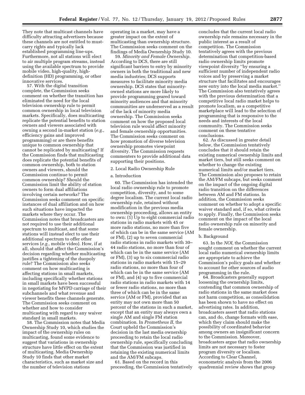They note that multicast channels have difficulty attracting advertisers because these channels are not entitled to mustcarry rights and typically lack established programming line-ups. Furthermore, not all stations will elect to air multiple program streams, instead using the available spectrum to provide mobile video, high-quality, highdefinition (HD) programming, or other innovative services.

57. With the digital transition complete, the Commission seeks comment on whether the transition has eliminated the need for the local television ownership rule to permit common ownership in local television markets. Specifically, does multicasting replicate the potential benefits to station owners and viewers associated with owning a second in-market station (*e.g.,*  efficiency gains and improved programming) or are there benefits unique to common ownership that cannot be replicated by multicasting? If the Commission finds that multicasting does replicate the potential benefits of common ownership, both to station owners and viewers, should the Commission continue to permit common ownership? Should the Commission limit the ability of station owners to form dual affiliations involving certain networks? The Commission seeks comment on specific instances of dual affiliation and on how such situations have impacted the markets where they occur. The Commission notes that broadcasters are not required to use their additional spectrum to multicast, and that some stations will instead elect to use their additional spectrum to offer other services (*e.g.,* mobile video). How, if at all, should that affect the Commission's decision regarding whether multicasting justifies a tightening of the duopoly rule? The Commission also seeks comment on how multicasting is affecting stations in small markets, including specifically whether stations in small markets have been successful in negotiating for MVPD carriage of their subchannels and what revenue and viewer benefits these channels generate. The Commission seeks comment on whether and how to consider multicasting with regard to any waiver standard in small markets.

58. The Commission notes that Media Ownership Study 10, which studies the impact of the ownership rules on multicasting, found some evidence to suggest that variations in ownership structure have little effect on the extent of multicasting. Media Ownership Study 10 finds that other market characteristics, such as market size and the number of television stations

operating in a market, may have a greater impact on the extent of multicasting than ownership structure. The Commission seeks comment on the findings of Media Ownership Study 10.

59. *Minority and Female Ownership.*  According to DCS, there are still significant barriers to entry by minority owners in both the traditional and new media industries; DCS supports measures to facilitate minority media ownership. DCS states that minorityowned stations are more likely to provide programming geared toward minority audiences and that minority communities are underserved as a result of the lack of minority media ownership. The Commission seeks comment on how the proposed local television rule would affect minority and female ownership opportunities. The Commission seeks comment on how promotion of diverse television ownership promotes viewpoint diversity. The Commission requests commenters to provide additional data supporting their positions.

# 2. Local Radio Ownership Rule

#### a. Introduction

60. The Commission has intended the local radio ownership rule to promote competition, diversity, and to some degree localism. The current local radio ownership rule, retained without modification in the previous media ownership proceeding, allows an entity to own:  $(1)$  Up to eight commercial radio stations in radio markets with 45 or more radio stations, no more than five of which can be in the same service (AM or FM), (2) up to seven commercial radio stations in radio markets with 30– 44 radio stations, no more than four of which can be in the same service (AM or FM), (3) up to six commercial radio stations in radio markets with 15–29 radio stations, no more than four of which can be in the same service (AM or FM), and (4) up to five commercial radio stations in radio markets with 14 or fewer radio stations, no more than three of which can be in the same service (AM or FM), provided that an entity may not own more than 50 percent of the stations in such a market, except that an entity may always own a single AM and single FM station combination. In *Prometheus II,* the Court upheld the Commission's decision in the last media ownership proceeding to retain the local radio ownership rule, specifically concluding that the Commission was justified in retaining the existing numerical limits and the AM/FM subcaps.

61. Based on the record in this proceeding, the Commission tentatively

concludes that the current local radio ownership rule remains necessary in the public interest as a result of competition. The Commission tentatively agrees with the previous determination that competition-based radio ownership limits promote viewpoint diversity ''by ensuring a sufficient number of independent radio voices and by preserving a market structure that facilitates and encourages new entry into the local media market.'' The Commission also tentatively agrees with the previous determination that a competitive local radio market helps to promote localism, as a competitive marketplace will lead to the selection of programming that is responsive to the needs and interests of the local community. The Commission seeks comment on these tentative conclusions.

62. As discussed in greater detail below, the Commission tentatively concludes that it should retain the existing numerical ownership limits and market tiers, but still seeks comment on whether to change the existing numerical limits and/or market tiers. The Commission also proposes to retain the AM/FM subcaps, but seeks comment on the impact of the ongoing digital radio transition on the differences between AM and FM stations. In addition, the Commission seeks comment on whether to adopt a specific waiver standard and, if so, what criteria to apply. Finally, the Commission seeks comment on the impact of the local radio ownership rule on minority and female ownership.

#### b. Background

63. In the *NOI,* the Commission sought comment on whether the current local radio numerical ownership limits are appropriate to achieve the Commission's policy goals and whether to account for other sources of audio programming in the rule.

64. Broadcasters generally support loosening the ownership limits, contending that common ownership of radio stations in the same market does not harm competition, as consolidation has been shown to have no effect on advertising rates. In addition, broadcasters assert that radio stations can, and do, change formats with ease, which they claim should make the possibility of coordinated behavior among owners an insignificant concern to the Commission. Moreover, broadcasters argue that radio ownership limits are not necessary to foster program diversity or localism. According to Clear Channel, econometric analysis from the 2006 quadrennial review shows that group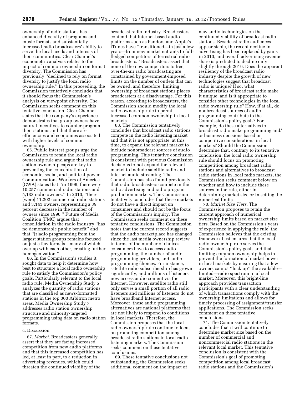ownership of radio stations has enhanced diversity of programs and music formats and substantially increased radio broadcasters' ability to serve the local needs and interests of their communities. Clear Channel's econometric analysis relates to the impact of common ownership on format diversity. The Commission has previously ''declined to rely on format diversity to justify the local radio ownership rule.'' In this proceeding, the Commission tentatively concludes that it should focus the Commission's analysis on viewpoint diversity. The Commission seeks comment on this tentative conclusion. Clear Channel states that the company's experience demonstrates that group owners have natural incentives to counter-program their stations and that there are efficiencies and economies associated with higher levels of common ownership.

65. Public interest groups urge the Commission to retain the local radio ownership rule and argue that radio station ownership caps are key to preventing the concentration of economic, social, and political power. Communications Workers of America (CWA) states that ''in 1996, there were 10,257 commercial radio stations and 5,133 radio owners.'' In 2010, ''there [were] 11,202 commercial radio stations and 3,143 owners, representing a 39 percent decrease in the number of owners since 1996.'' Future of Media Coalition (FMC) argues that consolidation in the radio industry ''has no demonstrable public benefit'' and that ''[r]adio programming from the largest station groups remains focused on just a few formats—many of which overlap with each other, creating further homogenization.''

66. In the Commission's studies it sought data to help it determine how best to structure a local radio ownership rule to satisfy the Commission's policy goals. Particularly relevant to the local radio rule, Media Ownership Study 5 analyzes the quantity of radio stations that are classified as news-formatted stations in the top 300 Arbitron metro areas. Media Ownership Study 7 addresses radio station ownership structure and minority-targeted programming using data on radio station formats.

# c. Discussion

67. *Market.* Broadcasters generally assert that they are facing increased competition from new audio platforms and that this increased competition has led, at least in part, to a reduction in advertising revenues, which could threaten the continued viability of the

broadcast radio industry. Broadcasters contend that Internet-based audio platforms such as Pandora and Apple's iTunes have ''transitioned—in just a few years—from new market entrants to fullfledged competitors of terrestrial radio broadcasters.'' Broadcasters assert that none of the new competitors to free, over-the-air radio broadcasting are constrained by government-imposed limits on the number of outlets that can be owned, and therefore, limiting ownership of broadcast stations places broadcasters at a disadvantage. For this reason, according to broadcasters, the Commission should modify the local radio ownership rule to permit increased common ownership in local markets.

68. The Commission tentatively concludes that broadcast radio stations compete in the radio listening market and that it is not appropriate, at this time, to expand the relevant market to include nonbroadcast sources of audio programming. This tentative conclusion is consistent with previous Commission decisions to not expand the relevant market to include satellite radio and Internet audio streaming. The Commission has also found previously that radio broadcasters compete in the radio advertising and radio program production markets. The Commission tentatively concludes that these markets do not have a direct impact on consumers and should not be the focus of the Commission's inquiry. The Commission seeks comment on these tentative conclusions. The Commission notes that the current record suggests that the audio marketplace has changed since the last media ownership review in terms of the number of choices consumers have to access audio programming, the number of audio programming providers, and audio programming choices. For instance, satellite radio subscribership has grown significantly, and millions of listeners now access audio content via the Internet. However, satellite radio still only serves a small portion of all radio listeners and millions of listeners do not have broadband Internet access. Moreover, these audio programming alternatives are national platforms that are not likely to respond to conditions in local markets. Therefore, the Commission proposes that the local radio ownership rule continue to focus on promoting competition among broadcast radio stations in local radio listening markets. The Commission seeks comment on these tentative conclusions.

69. These tentative conclusions not withstanding, the Commission seeks additional comment on the impact of

new audio technologies on the continued viability of broadcast radio stations. Broadcast radio audiences appear stable, the recent decline in advertising has been replaced by gains in 2010, and overall advertising revenue share is predicted to decline only slightly through 2019. Does the apparent resiliency of the broadcast radio industry despite the growth of new technologies suggest that broadcast radio is unique? If so, what characteristics of broadcast radio make it unique, and is it appropriate to consider other technologies in the local radio ownership rule? How, if at all, do nonbroadcast sources of audio programming contribute to the Commission's policy goals? For example, do these alternatives to broadcast radio make programming and/ or business decisions based on competitive considerations in local markets? Should the Commission determine that, contrary to its tentative conclusion, the local radio ownership rule should focus on promoting competition among broadcast radio stations and alternatives to broadcast radio stations in local radio markets, the Commission seeks comment below on whether and how to include these sources in the rule, either in determining market size or in setting the numerical limits.

70. *Market Size Tiers.* The Commission proposes to retain the current approach of numerical ownership limits based on market size tiers. Based on the Commission's years of experience in applying the rule, the Commission believes that the existing framework best ensures that the local radio ownership rule serves the Commission's policy goals and that limiting common ownership helps to prevent the formation of market power in local markets by ensuring that a few owners cannot ''lock up'' the available limited—radio spectrum in a local market. Moreover, this bright-line approach provides transaction participants with a clear understanding of which transactions comply with the ownership limitations and allows for timely processing of assignment/transfer applications. The Commission seeks comment on these tentative conclusions.

71. The Commission tentatively concludes that it will continue to determine market size based on the number of commercial and noncommercial radio stations in the relevant local market. This tentative conclusion is consistent with the Commission's goal of promoting competition among local broadcast radio stations and the Commission's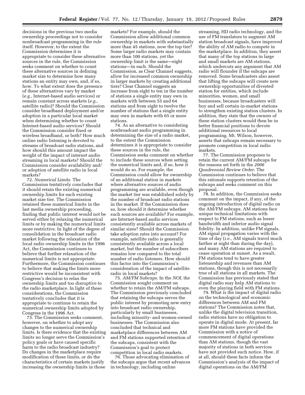decisions in the previous two media ownership proceedings not to consider nonbroadcast programming in the rule itself. However, to the extent the Commission determines it is appropriate to consider these alternative sources in the rule, the Commission seeks comment on whether to count these alternative sources in defining market size to determine how many stations an entity may own, and, if so, how. To what extent does the presence of these alternatives vary by market (*e.g.,* Internet-based audio services) or remain constant across markets (*e.g.,*  satellite radio)? Should the Commission consider broadband deployment and/or adoption in a particular local market when determining whether to count Internet-based audio services? Should the Commission consider fixed or wireless broadband, or both? How much online radio listening is devoted to streams of broadcast radio stations, and how should this amount impact the weight of the impact of internet audio streaming in local markets? Should the Commission consider availability and/ or adoption of satellite radio in local markets?

72. *Numerical Limits.* The Commission tentatively concludes that it should retain the existing numerical ownership limits for each existing market size tier. The Commission retained these numerical limits in the last media ownership proceeding, finding that public interest would not be served either by relaxing the numerical limits or by making the numerical limits more restrictive. In light of the degree of consolidation in the broadcast radio market following the relaxation of the local radio ownership limits in the 1996 Act, the Commission continues to believe that further relaxation of the numerical limits is not appropriate. Furthermore, the Commission continues to believe that making the limits more restrictive would be inconsistent with Congress's decision to relax the ownership limits and too disruptive to the radio marketplace. In light of these considerations, the Commission tentatively concludes that it is appropriate to continue to retain the numerical ownership limits adopted by Congress in the 1996 Act.

73. The Commission seeks comment, however, on whether to adopt any changes to the numerical ownership limits. Is there evidence that the existing limits no longer serve the Commission's policy goals or have caused specific harm to the radio broadcast industry? Do changes in the marketplace require modification of these limits, or do the characteristics of certain markets justify increasing the ownership limits in those

markets? For example, should the Commission allow additional common ownership in markets with substantially more than 45 stations, now the top tier? Some larger radio markets may contain more than 100 stations, yet the ownership limit is the same—eight stations—in each. Should the Commission, as Clear Channel suggests, allow for increased common ownership in larger markets by creating additional tiers? Clear Channel suggests an increase from eight to ten in the number of stations a single entity may own in markets with between 55 and 64 stations and from eight to twelve the number of stations that a single entity may own in markets with 65 or more stations.

74. As an alternative to considering nonbroadcast audio programming in determining the size of a radio market, to the extent the Commission determines it is appropriate to consider these sources in the rule, the Commission seeks comment on whether to include these sources when setting the numerical limits and, if so, how it would do so. For example, the Commission could allow for ownership of an additional station in markets where alternative sources of audio programming are available, even though the market tier was established solely by the number of broadcast radio stations in the market. If the Commission does so, how should it determine whether such sources are available? For example, are Internet-based audio services consistently available across markets of similar sizes? Should the Commission take adoption rates into account? For example, satellite radio is generally consistently available across a local market, but the number of subscribers remains low compared to the total number of radio listeners. How should this factor into the Commission's consideration of the impact of satellite radio in local markets?

75. *AM/FM Subcaps.* In the *NOI,* the Commission sought comment on whether to retain the AM/FM subcaps. The Commission previously concluded that retaining the subcaps serves the public interest by promoting new entry into broadcast radio ownership, particularly by small businesses, including minority- and women-owned businesses. The Commission also concluded that technical and marketplace differences between AM and FM stations supported retention of the subcaps, consistent with the Commission's goal to protect competition in local radio markets.

76. Those advocating elimination of the subcaps argue that recent advances in technology, including online

streaming, HD radio technology, and the use of FM translators to augment AM station broadcast signals, have improved the ability of AM radio to compete in the marketplace. In addition, they assert that many of the top stations in large and small markets are AM stations, which undercuts any argument that AM radio will flounder if the subcaps are removed. Some broadcasters also assert that lifting the subcaps will create new ownership opportunities of divested station for entities, which include minorities, women, and small businesses, because broadcasters will buy and sell certain in-market stations to strengthen existing station clusters. In addition, they state that the owners of these station clusters would then be in better financial positions to devote additional resources to local programming. Mt. Wilson, however, asserts that subcaps remain necessary to promote competition in local radio markets.

77. The Commission proposes to retain the current AM/FM subcaps for the reasons set forth in the *2006 Quadrennial Review Order.* The Commission continues to believe that this rationale supports retention of the subcaps and seeks comment on this proposal.

78. In addition, the Commission seeks comment on the impact, if any, of the ongoing introduction of digital radio on the AM/FM subcaps. AM stations face unique technical limitations with respect to FM stations, such as lesser bandwidth and inferior audio signal fidelity. In addition, unlike FM signals, AM signal propagation varies with the time of day (*i.e.,* AM signals travel much farther at night than during the day), and many AM stations are required to cease operation at sunset. As a result, FM stations tend to have greater listenership and revenues than AM stations, though this is not necessarily true of all stations in all markets. The Commission has previously stated that digital radio may help AM stations to even the playing field with FM stations.

79. What is the impact of digital radio on the technological and economic differences between AM and FM stations? The Commission notes that, unlike the digital television transition, radio stations have no obligation to operate in digital mode. At present, far more FM stations have provided the Commission with a notice of commencement of digital operations than AM stations, though the vast majority of stations in both services have not provided such notice. How, if at all, should these facts inform the Commission's analysis of the impact of digital operations on the AM/FM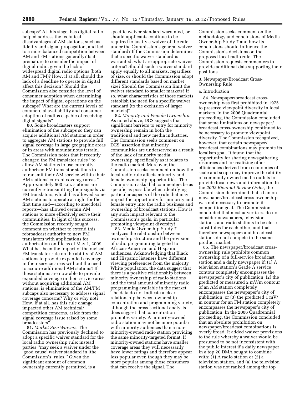subcaps? At this stage, has digital radio helped address the technical disadvantages of AM stations, such as fidelity and signal propagation, and led to a more balanced competition between AM and FM stations generally? Is it premature to consider the impact of digital radio, given the lack of widespread digital radio options (both AM and FM)? How, if at all, should the lack of a deadline to operate in digital affect this decision? Should the Commission also consider the level of consumer adoption when determining the impact of digital operations on the subcaps? What are the current levels of commercial availability and consumer adoption of radios capable of receiving digital signals?

80. Some broadcasters support elimination of the subcaps so they can acquire additional AM stations in order to aggregate AM stations to provide full signal coverage in large geographic areas or in areas with mountainous terrain. The Commission notes that it recently changed the FM translator rules ''to allow AM stations to use currently authorized FM translator stations to retransmit their AM service within their AM stations' current coverage areas.'' Approximately 500 a.m. stations are currently retransmitting their signals via FM translators, which has allowed some AM stations to operate at night for the first time and—according to anecdotal reports—has allowed certain AM stations to more effectively serve their communities. In light of this success, the Commission recently sought comment on whether to extend this rebroadcast authority to new FM translators with applications for authorization on file as of May 1, 2009. What has been the impact of the revised FM translator rule on the ability of AM stations to provide expanded coverage in their service areas without the need to acquire additional AM stations? If these stations are now able to provide expanded coverage in their service areas without acquiring additional AM stations, is elimination of the AM/FM subcaps also necessary to address signal coverage concerns? Why or why not? How, if at all, has this rule change impacted other AM technical/ competition concerns, aside from the signal coverage issue raised by some broadcasters?

81. *Market Size Waivers.* The Commission has previously declined to adopt a specific waiver standard for the local radio ownership rule; instead, parties ''may seek a waiver under the 'good cause' waiver standard in [the Commission's] rules.'' Given the significant amount of common ownership currently permitted, is a

specific waiver standard warranted, or should applicants continue to be required to justify a waiver of the rule under the Commission's general waiver standard? If the Commission determines that a specific waiver standard is warranted, what are appropriate waiver criteria? Should such a waiver standard apply equally to all markets, regardless of size, or should the Commission adopt different standards based on market size? Should the Commission limit the waiver standard to smaller markets? If so, what characteristics of those markets establish the need for a specific waiver standard (to the exclusion of larger markets)?

82. *Minority and Female Ownership.*  As noted above, DCS suggests that significant barriers to entry for minority ownership remain in both the traditional and new media industries. The Commission seeks comment on DCS' assertion that minority communities are underserved as a result of the lack of minority media ownership, specifically as it relates to the radio market. Moreover, the Commission seeks comment on how the local radio rule affects minority and female ownership opportunities. The Commission asks that commenters be as specific as possible when identifying particular aspects of the rule that may impact the opportunity for minority and female entry into the radio business and ownership of broadcast stations. How is any such impact relevant to the Commission's goals, in particular promoting viewpoint diversity?

83. Media Ownership Study 7 analyzes the relationship between ownership structure and the provision of radio programming targeted to African-American and Hispanic audiences. Acknowledging that Black and Hispanic listeners have different viewing preferences from the majority White population, the data suggest that there is a positive relationship between minority ownership of radio stations and the total amount of minority radio programming available in the market. The data do not indicate a clear relationship between ownership concentration and programming variety, although the cross-sectional analysis does suggest that concentration promotes variety. A minority-owned radio station may not be more popular with minority audiences than a nonminority-owned radio station providing the same minority-targeted format. If minority-owned stations have smaller coverage areas they will necessarily have lower ratings and therefore appear less popular even though they may be more popular among those consumers that can receive the signal. The

Commission seeks comment on the methodology and conclusions of Media Ownership Study 7 and how its conclusions should influence the Commission's decisions on the proposed local radio rule. The Commission requests commenters to provide additional data supporting their positions.

## 3. Newspaper/Broadcast Cross-Ownership Rule

#### a. Introduction

84. Newspaper/broadcast crossownership was first prohibited in 1975 to preserve viewpoint diversity in local markets. In the 2006 Quadrennial proceeding, the Commission concluded that some limitations on newspaper/ broadcast cross-ownership continued to be necessary to promote viewpoint diversity. The Commission recognized, however, that certain newspaper/ broadcast combinations may promote its localism goal. It found that the opportunity for sharing newsgathering resources and for realizing other efficiencies derived from economies of scale and scope may improve the ability of commonly owned media outlets to provide local news and information. In the *2002 Biennial Review Order,* the Commission determined that a ban on newspaper/broadcast cross-ownership was not necessary to promote its competition goal. The Commission concluded that most advertisers do not consider newspapers, television stations, and radio stations to be close substitutes for each other, and that therefore newspapers and broadcast stations do not compete in the same product market.

85. The newspaper/broadcast crossownership rule prohibits common ownership of a full-service broadcast station and a daily newspaper if: (1) A television station's Grade A service contour completely encompasses the newspaper's city of publication; (2) the predicted or measured 2 mV/m contour of an AM station completely encompasses the newspaper's city of publication; or (3) the predicted 1 mV/ m contour for an FM station completely encompasses the newspaper's city of publication. In the 2006 Quadrennial proceeding, the Commission concluded that an absolute prohibition on newspaper/broadcast combinations is overly broad. It added waiver provisions to the rule whereby a waiver would be presumed to be not inconsistent with the public interest if a daily newspaper in a top 20 DMA sought to combine with: (1) A radio station or (2) a television station, and (a) the television station was not ranked among the top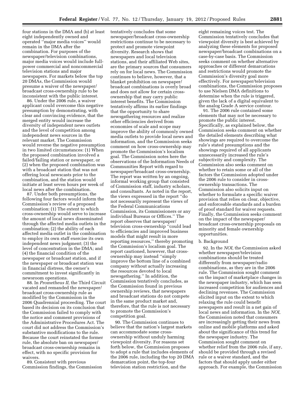four stations in the DMA and (b) at least eight independently owned and operated ''major media voices'' would remain in the DMA after the combination. For purposes of the newspaper/television combinations, major media voices would include fullpower commercial and noncommercial television stations and major newspapers. For markets below the top 20 DMAs, the Commission would presume a waiver of the newspaper/ broadcast cross-ownership rule to be inconsistent with the public interest.

86. Under the 2006 rule, a waiver applicant could overcome this negative presumption by demonstrating, with clear and convincing evidence, that the merged entity would increase the diversity of independent news outlets and the level of competition among independent news sources in the relevant market. The Commission would reverse the negative presumption in two limited circumstances: (1) When the proposed combination involved a failed/failing station or newspaper, or (2) when the proposed combination was with a broadcast station that was not offering local newscasts prior to the combination, and the station would initiate at least seven hours per week of local news after the combination.

87. Under both presumptions, the following four factors would inform the Commission's review of a proposed combination: (1) The extent to which cross-ownership would serve to increase the amount of local news disseminated through the affected media outlets in the combination; (2) the ability of each affected media outlet in the combination to employ its own staff exercise its own independent news judgment; (3) the level of concentration in the DMA; and (4) the financial condition of the newspaper or broadcast station, and if the newspaper or broadcast station was in financial distress, the owner's commitment to invest significantly in newsroom operations.

88. In *Prometheus II,* the Third Circuit vacated and remanded the newspaper/ broadcast cross-ownership rule as modified by the Commission in the 2006 Quadrennial proceeding. The court based its decision on its conclusion that the Commission failed to comply with the notice and comment provisions of the Administrative Procedures Act. The court did not address the Commission's substantive modifications to the rule. Because the court reinstated the former rule, the absolute ban on newspaper/ broadcast cross-ownership remains in effect, with no specific provision for waivers.

89. Consistent with previous Commission findings, the Commission tentatively concludes that some newspaper/broadcast cross-ownership restrictions continue to be necessary to protect and promote viewpoint diversity. Research shows that newspapers and local television stations, and their affiliated Web sites, are the primary sources that consumers rely on for local news. The Commission continues to believe, however, that a blanket prohibition on newspaper/ broadcast combinations is overly broad and does not allow for certain crossownership that may carry public interest benefits. The Commission tentatively affirms its earlier findings that the opportunity to share newsgathering resources and realize other efficiencies derived from economies of scale and scope may improve the ability of commonly owned media outlets to provide local news and information, and the Commission seeks comment on how cross-ownership may promote the Commission's localism goal. The Commission notes here the observations of the Information Needs of Communities Report with regard to newspaper/broadcast cross-ownership. The report was written by an ongoing, informal working group that consisted of Commission staff, industry scholars, and consultants. As noted in the report, the views expressed in the report ''do not necessarily represent the views of the Federal Communications Commission, its Commissioners or any individual Bureaus or Offices.'' The report observes that newspaper/ television cross-ownership ''could lead to efficiencies and improved business models that might result in more reporting resources,'' thereby promoting the Commission's localism goal. The report cautioned, however, that crossownership may instead ''simply improve the bottom line of a combined company without actually increasing the resources devoted to local newsgathering.'' In addition, the Commission tentatively concludes, as the Commission found in previous ownership reviews, that newspapers and broadcast stations do not compete in the same product market and, therefore, that the rule is not necessary to promote the Commission's competition goal.

90. The Commission continues to believe that the nation's largest markets can accommodate some crossownership without unduly harming viewpoint diversity. For reasons set forth below, the Commission proposes to adopt a rule that includes elements of the 2006 rule, including the top 20 DMA demarcation point, the top-four television station restriction, and the

eight remaining voices test. The Commission tentatively concludes that viewpoint diversity is best achieved by analyzing these elements for proposed newspaper/broadcast combinations on a case-by-case basis. The Commission seeks comment on whether alternative approaches or different demarcations and restrictions would promote the Commission's diversity goal more effectively. For newspaper/television combinations, the Commission proposes to use Nielsen DMA definitions to determine when the rule is triggered, given the lack of a digital equivalent to the analog Grade A service contour.

91. The 2006 rule contained some elements that may not be necessary to promote the public interest. Specifically, as explained below, the Commission seeks comment on whether the detailed elements describing what showings are required to overcome the rule's stated presumptions and the showings required of all applicants unnecessarily increased the rule's subjectivity and complexity. The Commission also seeks comment on whether to retain some or all of the factors the Commission adopted under the 2006 rule to consider in crossownership transactions. The Commission also solicits input on whether to formulate a specific waiver provision that relies on clear, objective, and enforceable standards and a burden of proof standard for waiver requests. Finally, the Commission seeks comment on the impact of the newspaper/ broadcast cross-ownership proposals on minority and female ownership opportunities.

#### b. Background

92. In the *NOI,* the Commission asked whether newspaper/television combinations should be treated differently from newspaper/radio combinations, as they are in the 2006 rule. The Commission sought comment on the impact of marketplace changes in the newspaper industry, which has seen increased competition for audiences and declining revenues. The Commission elicited input on the extent to which relaxing the rule could benefit newspapers and result in a net gain of local news and information. In the *NOI,*  the Commission noted that consumers are increasingly getting their news from online and mobile platforms and asked about the significance of this trend for the newspaper industry. The Commission sought comment on whether relief from the 2006 rule, if any, should be provided through a revised rule or a waiver standard, and the factors that should apply under either approach. For example, the Commission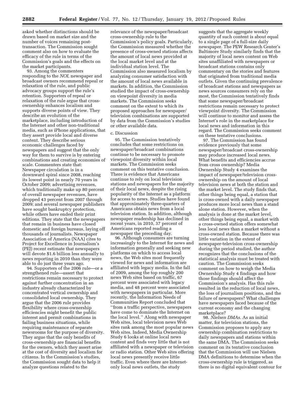asked whether distinctions should be drawn based on market size and the number of voices remaining posttransaction. The Commission sought comment also on how to evaluate the efficacy of the rule in terms of the Commission's goals and the effects on the market participants.

93. Among the commenters responding to the *NOI,* newspaper and broadcast owners recommend repeal or relaxation of the rule, and public advocacy groups support the rule's retention. Supporters of repeal or relaxation of the rule argue that crossownership enhances localism and supports diverse points of view. They describe an evolution of the marketplace, including introduction of the Internet and other non-traditional media, such as iPhone applications, that they assert provide local and diverse content. They describe serious economic challenges faced by newspapers and suggest that the only way for them to survive is by entering combinations and creating economies of scale. Commenters state that: Newspaper circulation is in a downward spiral since 2008, reaching its lowest point in nearly 70 years in October 2009; advertising revenues, which traditionally make up 80 percent of overall newspaper revenues, have dropped 43 percent from 2007 through 2009; and several newspaper publishers have sought bankruptcy protection, while others have ended their print editions. They state that the newspapers that remain in business have closed domestic and foreign bureaus, laying off thousands of journalists. Newspaper Association of America (NAA) cites to Project for Excellence in Journalism's (PEJ) recent estimate that newspapers will devote \$1.6 billion less annually to news reporting in 2010 than they were able to do just three years ago.

94. Supporters of the 2006 rule—or a strengthened rule—assert that restrictions remain necessary to protect against further concentration in an industry already characterized by concentrated vertical ownership and consolidated local ownership. They argue that the 2006 rule provides flexibility where cross-ownership efficiencies might benefit the public interest and permit combinations in failing business situations, while requiring maintenance of separate newsrooms for the purpose of diversity. They argue that the only benefits of cross-ownership are financial benefits for the owners, which they assert arise at the cost of diversity and localism for citizens. In the Commission's studies, the Commission sought data to help it analyze questions related to the

relevance of the newspaper/broadcast cross-ownership rule to the Commission's policy goals. Particularly, the Commission measured whether the presence of cross-owned stations affects the amount of local news provided at the local market level and at the individual station level. The Commission also measured localism by analyzing consumer satisfaction with the amount of local news available in markets. In addition, the Commission studied the impact of cross-ownership on viewpoint diversity in media markets. The Commission seeks comment on the extent to which its proposed approaches for newspaper/ television combinations are supported by data from the Commission's studies or other available data.

# c. Discussion

95. The Commission tentatively concludes that some restrictions on newspaper/broadcast combinations continue to be necessary to promote viewpoint diversity within local markets. The Commission seeks comment on this tentative conclusion. There is evidence that Americans continue to rely on local television stations and newspapers for the majority of their local news, despite the rising popularity of the Internet as a platform for access to news. Studies have found that approximately three-quarters of Americans obtain news from a local television station. In addition, although newspaper readership has declined in recent years, in 2010, 37 percent of Americans reported reading a newspaper the preceding day.

96. Although consumers are turning increasingly to the Internet for news and information generally and seeking new platforms on which to access local news, the Web sites most frequently viewed for news and information are affiliated with legacy media. In the fall of 2009, among the top roughly 200 news Web sites based on traffic, 67 percent were associated with legacy media, and 48 percent were associated with newspapers in particular. More recently, the Information Needs of Communities Report concluded that ''from a traffic perspective, newspapers have come to dominate the Internet on the local level.'' Along with newspaper Web sites, local television news Web sites rank among the most popular news Web sites. Indeed, Media Ownership Study 6 looks at online local news content and finds very little that is not affiliated with a newspaper or television or radio station. Other Web sites offering local news presently receive little traffic. Even where there are Internetonly local news outlets, the study

suggests that the aggregate weekly quantity of such content is about equal to a single page of a full-size daily newspaper. The PEW Research Center's Baltimore Study similarly finds that the majority of local news content on Web sites unaffiliated with newspapers or broadcast stations contains only commentary on the stories and features that originated from traditional media outlets. Given the continuing prevalence of broadcast stations and newspapers as news sources consumers rely on the most, the Commission tentatively finds that some newspaper/broadcast restrictions remain necessary to protect viewpoint diversity. The Commission will continue to monitor and assess the Internet's role in the marketplace for local news and information in this regard. The Commission seeks comment on these tentative conclusions.

97. The Commission has found evidence previously that some newspaper/broadcast cross-ownership may produce increased local news. What benefits and efficiencies accrue from cross ownership? Media Ownership Study 4 examines the impact of newspaper/television crossownership on the amount of local television news at both the station and the market level. The study finds that, other things being equal, a station that is cross-owned with a daily newspaper produces more local news than a stand alone station. However, when the analysis is done at the market level, other things being equal, a market with a cross-owned station offers somewhat less local news than a market without a cross-owned station. Because there was little variation in the extent of newspaper-television cross-ownership during the period studied, the author recognizes that the conclusions of the statistical analysis must be treated with caution. The Commission seeks comment on how to weigh the Media Ownership Study 4 findings and how those findings should affect the Commission's analysis. Has this rule resulted in the reduction of local news, the loss of journalism positions, and the failure of newspapers? What challenges have newspapers faced because of the current economy and the changing marketplace?

98. *Nielsen DMAs.* As an initial matter, for television stations, the Commission proposes to apply any ownership combination restrictions to daily newspapers and stations within the same DMA. The Commission seeks comment on its tentative conclusion that the Commission will use Nielsen DMA definitions to determine when the cross-ownership rule is triggered, as there is no digital equivalent contour for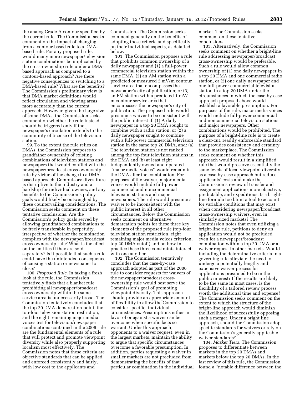the analog Grade A contour specified by the current rule. The Commission seeks comment on the impact of changing from a contour-based rule to a DMAbased rule. For any proposed rule, would many more newspaper/television station combinations be implicated by the cross-ownership rule under a DMAbased approach as compared to a contour-based approach? Are there negative consequences to switching to a DMA-based rule? What are the benefits? The Commission's preliminary view is that DMA market definitions would reflect circulation and viewing areas more accurately than the current approach. However, given the large size of some DMAs, the Commission seeks comment on whether the rule instead should be triggered only if the newspaper's circulation extends to the community of license of the television station.

99. To the extent the rule relies on DMAs, the Commission proposes to grandfather ownership of existing combinations of television stations and newspapers that would conflict with the newspaper/broadcast cross-ownership rule by virtue of the change to a DMAbased approach. Compulsory divestiture is disruptive to the industry and a hardship for individual owners, and any benefits to the Commission's policy goals would likely be outweighed by these countervailing considerations. The Commission seeks comment on these tentative conclusions. Are the Commission's policy goals served by allowing grandfathered combinations to be freely transferable in perpetuity, irrespective of whether the combination complies with the newspaper/broadcast cross-ownership rule? What is the effect on the entities if they are sold separately? Is it possible that such a rule could have the unintended consequence of causing a station or newspaper to close?

100. *Proposed Rule.* In taking a fresh look at the rule, the Commission tentatively finds that a blanket rule prohibiting all newspaper/broadcast cross-ownership within the same service area is unnecessarily broad. The Commission tentatively concludes that the top 20 DMA demarcation point, the top-four television station restriction, and the eight remaining major media voices test for television/newspaper combinations contained in the 2006 rule are the fundamental elements of a rule that will protect and promote viewpoint diversity while also properly supporting localism most effectively. The Commission notes that these criteria are objective standards that can be applied and enforced consistently and fairly, with low cost to the applicants and

Commission. The Commission seeks comment generally on the benefits of adopting these criteria and specifically on their individual aspects, as detailed below.

101. The Commission proposes a rule that prohibits common ownership of a daily newspaper and (1) a full-power commercial television station within the same DMA, (2) an AM station with a predicted or measured 2 mV/m contour service area that encompasses the newspaper's city of publication; or (3) an FM station with a predicted 1 mV/ m contour service area that encompasses the newspaper's city of publication. The proposed rule would presume a waiver to be consistent with the public interest if: (1) A daily newspaper in a top 20 DMA sought to combine with a radio station, or (2) a daily newspaper sought to combine with a full-power commercial television station in the same top 20 DMA, and: (a) The television station is not ranked among the top four television stations in the DMA and (b) at least eight independently owned and operated ''major media voices'' would remain in the DMA after the combination. For purposes of the waiver, major media voices would include full-power commercial and noncommercial television stations and major newspapers. The rule would presume a waiver to be inconsistent with the public interest in all other circumstances. Below the Commission seeks comment on alternative demarcation points for these three key elements of the proposed rule (top-four television station restriction, eight remaining major media voices criterion, top 20 DMA cutoff) and on how in practice these three constraints interact with one another.

102. The Commission tentatively concludes that the case-by-case approach adopted as part of the 2006 rule to consider requests for waivers of the newspaper/broadcast crossownership rule would best serve the Commission's goal of promoting viewpoint diversity. This approach should provide an appropriate amount of flexibility to allow the Commission to consider specific, individual circumstances. Presumptions either in favor of or against a waiver can be overcome when specific facts so warrant. Under this approach, opponents to a waiver request, even in the largest markets, maintain the ability to argue that specific circumstances overcome a favorable presumption. In addition, parties requesting a waiver in smaller markets are not precluded from demonstrating the benefits of that particular combination in the individual market. The Commission seeks comment on these tentative conclusions.

103. Alternatively, the Commission seeks comment on whether a bright-line rule addressing newspaper/broadcast cross-ownership would be preferable. Such a rule would allow common ownership of (1) one daily newspaper in a top 20 DMA and one commercial radio station, or (2) one daily newspaper and one full-power commercial television station in a top 20 DMA under the circumstances in which the case-by-case approach proposed above would establish a favorable presumption. For purposes of the rule, major media voices would include full-power commercial and noncommercial television stations and major newspapers. Other combinations would be prohibited. The purpose of a bright-line rule is to create a clear-cut, readily enforceable standard that provides consistency and certainty to the marketplace. The Commission seeks comment on whether this approach would result in a simplified rule that would preserve essentially the same levels of local viewpoint diversity as a case-by-case approach but reduce applicants' costs and make the Commission's review of transfer and assignment applications more objective, predictable, and expeditious. Is a brightline formula too blunt a tool to account for variable conditions that may exist when considering newspaper/broadcast cross-ownership waivers, even in similarly sized markets? The Commission notes that even utilizing a bright-line rule, petitions to deny an application would not be precluded even for a newspaper/broadcast combination within a top 20 DMA or a waiver request in other markets. Would including the determinative criteria in a governing rule alleviate the need to undergo a potentially lengthy and expensive waiver process for applications presumed to be in the public interest? If the results are likely to be the same in most cases, is the flexibility of a tailored review process worth the additional time and expense? The Commission seeks comment on the extent to which the structure of the bright-line approach would diminish the likelihood of successfully opposing such a merger. Under a bright line approach, should the Commission adopt specific standards for waivers or rely on the Commission's generally applicable waiver standards?

104. *Market Tiers.* The Commission proposes to differentiate between markets in the top 20 DMAs and markets below the top 20 DMAs. In the last review of this rule, the Commission found a ''notable difference between the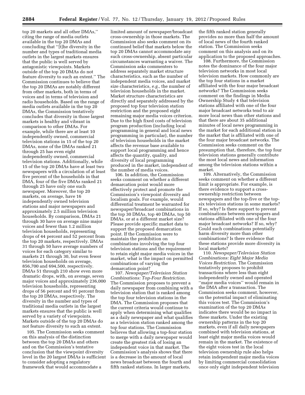top 20 markets and all other DMAs,'' citing the range of media outlets available in the top 20 DMAs and concluding that ''[t]he diversity in the number and types of traditional media outlets in the largest markets ensures that the public is well served by antagonistic viewpoints. Markets outside of the top 20 DMAs do not feature diversity to such an extent.'' The Commission continues to believe that the top 20 DMAs are notably different from other markets, both in terms of voices and in terms of television and radio households. Based on the range of media outlets available in the top 20 DMAs, the Commission tentatively concludes that diversity in those largest markets is healthy and vibrant in comparison to other DMAs. For example, while there are at least 10 independently owned, commercial television stations in 15 of the top 20 DMAs, none of the DMAs ranked 21 through 25 has even eight independently owned, commercial television stations. Additionally, while 15 of the top 20 DMAs have at least two newspapers with a circulation of at least five percent of the households in that DMA, four of the five DMAs ranked 21 through 25 have only one such newspaper. Moreover, the top 20 markets, on average, have 16 independently owned television stations and major newspapers and approximately 2.5 million television households. By comparison, DMAs 21 through 30 have on average nine major voices and fewer than 1.2 million television households, representing drops of 44 percent and 52 percent from the top 20 markets, respectively. DMAs 31 through 50 have average numbers of voices for each category similar to markets 21 through 30, but even fewer television households on average, 856,700 and 694,500, respectively. DMAs 51 through 210 show even more dramatic drops, with, on average, seven major voices and approximately 236,000 television households, representing drops of 56 percent and 91 percent from the top 20 DMAs, respectively. The diversity in the number and types of traditional media outlets in the largest markets ensures that the public is well served by a variety of viewpoints. Markets outside of the top 20 DMAs do not feature diversity to such an extent.

105. The Commission seeks comment on this analysis of the distinction between the top 20 DMAs and others and on the Commission's tentative conclusion that the viewpoint diversity level in the 20 largest DMAs is sufficient to consider adopting a regulatory framework that would accommodate a

limited amount of newspaper/broadcast cross-ownership in those markets. The Commission also seeks comment on its continued belief that markets below the top 20 DMAs cannot accommodate any such cross-ownership, absent particular circumstances warranting a waiver. The Commission asks commenters to address separately market structure characteristics, such as the number of independent media voices, and market size characteristics, *e.g.,* the number of television households in the market. Market structure characteristics are directly and separately addressed by the proposed top four television station restriction and the proposed eight remaining major media voices criterion. Due to the high fixed costs of television program production (including local programming in general and local news programming in particular), the number of television households in the market affects the revenue base available to support local programming and hence affects the quantity, quality, and diversity of local programming produced in the market, independent of the number of media voices.

106. In addition, the Commission seeks comment on whether a different demarcation point would more effectively protect and promote the Commission's viewpoint diversity and localism goals. For example, would differential treatment be warranted for newspaper/broadcast combinations in the top 30 DMAs, top 40 DMAs, top 50 DMAs, or at a different market size? Please provide specific market data to support the proposed demarcation point. If the Commission were to maintain the prohibition on combinations involving the top four television stations and the requirement to retain eight major media voices in the market, what is the impact on permitted combinations of varying the demarcation point?

107. *Newspaper/Television Station Combinations: Top-Four Restriction.*  The Commission proposes to prevent a daily newspaper from combining with a television station that is ranked among the top four television stations in the DMA. The Commission proposes that the current criteria would continue to apply when determining what qualifies as a daily newspaper and what qualifies as a television station ranked among the top four stations. The Commission believes that allowing a top-four station to merge with a daily newspaper would create the greatest risk of losing an independent voice in that market. The Commission's analysis shows that there is a decrease in the amount of local news broadcast between the fourth and fifth ranked stations. In larger markets,

the fifth ranked station generally provides no more than half the amount of local news of the fourth ranked station. The Commission seeks comment on this analysis and on its application to the proposed approaches.

108. Furthermore, the Commission notes the dominance of the four major television networks in most local television markets. How commonly are the top four stations in a market affiliated with the four major broadcast networks? The Commission seeks comment on the findings in Media Ownership Study 4 that television stations affiliated with one of the four major broadcast networks tend to air more local news than other stations and that there are about 35 additional minutes of local news programming in the market for each additional station in the market that is affiliated with one of the four major broadcast networks. The Commission seeks comment on the presumption that, therefore, the top four television stations generally contribute the most local news and information among the television stations within a market.

109. Alternatively, the Commission seeks comment on whether a different limit is appropriate. For example, is there evidence to support a crossownership restriction between newspapers and the top-five or the topsix television stations in some markets? If so, why? Is there support to prevent combinations between newspapers and stations affiliated with one of the four major broadcast networks? If so, why? Could such combinations potentially harm diversity more than other combinations? Is there evidence that these stations provide more diversity in local markets?

110. *Newspaper/Television Station Combinations: Eight Major Media Voices Restriction.* The Commission tentatively proposes to prohibit transactions where less than eight independently owned and operated ''major media voices'' would remain in the DMA after a transaction. The Commission seeks comment, however, on the potential impact of eliminating this voices test. The Commission's examination of the top 20 DMAs indicates there would be no impact in these markets. Under the existing ownership patterns in the top 20 markets, even if all daily newspapers combined with television stations, at least eight major media voices would remain in the market. The existence of the eight voices test in the local television ownership rule also helps retain independent major media voices by limiting commercial consolidation once only eight independent television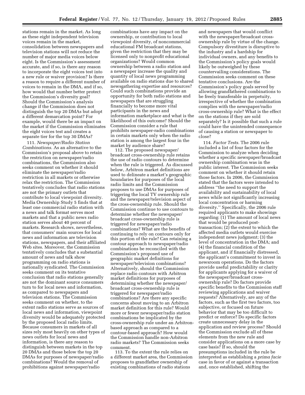stations remain in the market. As long as these eight independent television voices remain in the market, consolidation between newspapers and television stations will not reduce the number of major media voices below eight. Is the Commission's assessment accurate, and if so, is there any reason to incorporate the eight voices test into a new rule or waiver provision? Is there a reason to require a different number of voices to remain in the DMA, and if so, how would that number better protect the Commission's diversity goal? Should the Commission's analysis change if the Commission does not distinguish the top 20 DMAs but adopt a different demarcation point? For example, would there be an impact on the market if the Commission eliminates the eight voices test and creates a separate tier for the top 30 DMAs?

111. *Newspaper/Radio Station Combinations.* As an alternative to the Commission's proposal above to retain the restriction on newspaper/radio combinations, the Commission also seeks comment on whether it should eliminate the newspaper/radio restriction in all markets or otherwise relax the restriction. The Commission tentatively concludes that radio stations are not the primary outlets that contribute to local viewpoint diversity. Media Ownership Study 5 finds that at least one commercial radio station with a news and talk format serves most markets and that a public news radio station serves about 40 percent of markets. Research shows, nevertheless, that consumers' main sources for local news and information are television stations, newspapers, and their affiliated Web sites. Moreover, the Commission tentatively concludes that a substantial amount of news and talk show programming on radio stations is nationally syndicated. The Commission seeks comment on its tentative conclusion that radio stations generally are not the dominant source consumers turn to for local news and information, as compared to newspapers and television stations. The Commission seeks comment on whether, to the extent radio stations serve as sources of local news and information, viewpoint diversity would be adequately protected by the proposed local radio limits. Because consumers in markets of all sizes rely most heavily on other types of news outlets for local news and information, is there any reason to distinguish between markets in the top 20 DMAs and those below the top 20 DMAs for purposes of newspaper/radio combinations? Would the removal of prohibitions against newspaper/radio

combinations have any impact on the ownership, or contribution to local viewpoint diversity, of noncommercial educational FM broadcast stations, given the restriction that they may be licensed only to nonprofit educational organizations? Would common ownership between a radio station and a newspaper increase the quality and quantity of local news programming available on radio stations due to shared newsgathering expertise and resources? Could such combinations provide an opportunity for both radio stations and newspapers that are struggling financially to become more vital participants in the news and information marketplace and what is the likelihood of this outcome? Should the Commission consider a rule that prohibits newspaper-radio combinations in certain markets only when the radio station is among the largest four in the market by audience share?

112. The proposed newspaper/ broadcast cross-ownership rule retains the use of radio contours to determine when the rule is triggered. As discussed below, Arbitron market definitions are used to delineate a market's geographic boundaries for purposes of the local radio limits and the Commission proposes to use DMAs for purposes of triggering the local TV ownership rule and the newspaper/television aspect of the cross-ownership rule. Should the Commission continue to use contours to determine whether the newspaper/ broadcast cross-ownership rule is triggered for newspaper/radio combinations? What are the benefits of continuing to rely on contours only for this portion of the rule? Can retaining a contour approach to newspaper/radio combinations be reconciled with the Commission's proposed use of geographic market definitions for newspaper/television combinations? Alternatively, should the Commission replace radio contours with Arbitron market definitions for purposes of determining whether the newspaper/ broadcast cross-ownership rule is triggered for newspaper/radio combinations? Are there any specific concerns about moving to an Arbitron market definition for this rule? Would more or fewer newspaper/radio station combinations be implicated by the cross-ownership rule under an Arbitronbased approach as compared to a contour-based approach? How would the Commission handle non-Arbitron radio markets? The Commission seeks comment.

113. To the extent the rule relies on a different market area, the Commission proposes to grandfather ownership of existing combinations of radio stations

and newspapers that would conflict with the newspaper/broadcast crossownership rule by virtue of the change. Compulsory divestiture is disruptive to the industry and a hardship for individual owners, and any benefits to the Commission's policy goals would likely be outweighed by these countervailing considerations. The Commission seeks comment on these tentative conclusions. Are the Commission's policy goals served by allowing grandfathered combinations to be freely transferable in perpetuity, irrespective of whether the combination complies with the newspaper/radio cross-ownership rule? What is the effect on the stations if they are sold separately? Is it possible that such a rule could have the unintended consequence of causing a station or newspaper to close?

114. *Factor Tests.* The 2006 rule included a list of four factors for the Commission to analyze when deciding whether a specific newspaper/broadcast ownership combination was in the public interest. The Commission seeks comment on whether it should retain those factors. In 2006, the Commission stated that the factors were intended to address ''the need to support the availability and sustainability of local news while not significantly increasing local concentration or harming diversity.'' Specifically, the 2006 rule required applicants to make showings regarding: (1) The amount of local news that would be produced posttransaction; (2) the extent to which the affected media outlets would exercise independent news judgment; (3) the level of concentration in the DMA; and (4) the financial condition of the applicant, and if financially distressed, the applicant's commitment to invest in newsroom operations. Do the factors provide useful predictability or clarity for applicants applying for a waiver of the newspaper/broadcast crossownership rule? Do factors provide specific benefits to the Commission staff reviewing applications and waiver requests? Alternatively, are any of the factors, such as the first two factors, too subjective, or focused on future behavior that may be too difficult to predict or enforce? Do specific factors create unnecessary delay in the application and review process? Should the Commission exclude all of these elements from the new rule and consider applications on a more case by case basis? If so, should the presumptions included in the rule be interpreted as establishing a *prima facie*  case in favor of or against a transaction and, once established, shifting the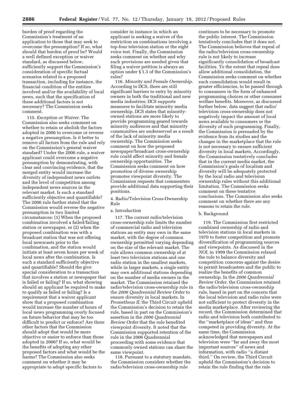burden of proof regarding the Commission's treatment of an application to those that may seek to overcome the presumption? If so, what should that burden of proof be? Would a well defined exception or waiver standard, as discussed below, sufficiently support the Commission's consideration of specific factual scenarios related to a proposed transaction, including for instance, the financial condition of the entities involved and/or the availability of local news, such that the specification of these additional factors is not necessary? The Commission seeks comment.

115. *Exception or Waiver.* The Commission also seeks comment on whether to retain or abolish the factors adopted in 2006 to overcome or reverse a negative presumption. Is it better to remove all factors from the rule and rely on the Commission's general waiver standard? Under the 2006 rule, a waiver applicant could overcome a negative presumption by demonstrating, with clear and convincing evidence, that the merged entity would increase the diversity of independent news outlets and the level of competition among independent news sources in the relevant market. Is such a standard sufficiently objective and quantifiable? The 2006 rule further stated that the Commission would reverse the negative presumption in two limited circumstances: (1) When the proposed combination involved a failed/failing station or newspaper, or (2) when the proposed combination was with a broadcast station that was not offering local newscasts prior to the combination, and the station would initiate at least seven hours per week of local news after the combination. Is such a standard sufficiently objective and quantifiable? Should the give special consideration to a transaction that involves a station or newspaper that is failed or failing? If so, what showing should an applicant be required to make to qualify as failed or failing? Is a requirement that a waiver applicant show that a proposed combination would increase the number of hours of local news programming overly focused on future behavior that may be too difficult to predict or enforce? Are there other factors that the Commission should adopt that would be more objective or easier to enforce than those adopted in 2006? If so, what would be the benefits of adopting any other proposed factors and what would be the harms? The Commission also seeks comment on whether it may be appropriate to adopt specific factors to

consider in instance in which an applicant is seeking a waiver of the restriction on combinations involving a top-four television station or the eight voice test. Finally, the Commission seeks comment on whether and why such provisions are needed given that filing a waiver petition is always an option under § 1.3 of the Commission's rules?

116. *Minority and Female Ownership.*  According to DCS, there are still significant barriers to entry by minority owners in both the traditional and new media industries; DCS supports measures to facilitate minority media ownership. DCS states that minorityowned stations are more likely to provide programming geared towards minority audiences and that minority communities are underserved as a result of the lack of minority media ownership. The Commission seeks comment on how the proposed newspaper/broadcast cross-ownership rule could affect minority and female ownership opportunities. The Commission seeks comment on how promotion of diverse ownership promotes viewpoint diversity. The Commission requests that commenters provide additional data supporting their positions.

4. Radio/Television Cross-Ownership Rule

# a. Introduction

117. The current radio/television cross-ownership rule limits the number of commercial radio and television stations an entity may own in the same market, with the degree of common ownership permitted varying depending on the size of the relevant market. The rule allows common ownership of at least two television stations and one radio station in the smallest markets, while in larger markets, a single entity may own additional stations depending on the number of media owners in the market. The Commission retained the radio/television cross-ownership rule in the *2006 Quadrennial Review Order* to ensure diversity in local markets. In *Prometheus II,* the Third Circuit upheld the Commission's decision to retain the rule, based in part on the Commission's assertion in the *2006 Quadrennial Review Order* that the rule benefited viewpoint diversity. It noted that the Commission supported retention of the rule in the 2006 Quadrennial proceeding with some evidence that commonly owned stations can share the same viewpoint.

118. Pursuant to a statutory mandate, the Commission considers whether the radio/television cross-ownership rule

continues to be necessary to promote the public interest. The Commission tentatively concludes that it does not. The Commission believes that repeal of the radio/television cross-ownership rule is not likely to increase significantly consolidation of broadcast facilities. To the extent that repeal does allow additional consolidation, the Commission seeks comment on whether such consolidation would result in greater efficiencies, to be passed through to consumers in the form of enhanced programming choices or other consumer welfare benefits. Moreover, as discussed further below, data suggest that radio/ television cross-ownership does not negatively impact the amount of local news available to consumers or the diversity of such programming. Finally, the Commission is persuaded by the evidence from its studies and the changes in the marketplace that the rule is not necessary to ensure sufficient diversity in local markets. Accordingly, the Commission tentatively concludes that in the current media market, the Commission's goals of localism and diversity will be adequately protected by the local radio and television ownership rules without this additional limitation. The Commission seeks comment on these tentative conclusions. The Commission also seeks comment on whether there are any reasons to retain the rule.

# b. Background

119. The Commission first restricted combined ownership of radio and television stations in local markets in 1970 to foster competition and promote diversification of programming sources and viewpoints. As discussed in the *NOI,* in 1999 the Commission relaxed the rule to balance diversity and competition concerns against the desire to permit broadcasters and the public to realize the benefits of common ownership. In the *2006 Quadrennial Review Order,* the Commission retained the radio/television cross-ownership rule, based in part on the concern that the local television and radio rules were not sufficient to protect diversity in the media marketplace. After reviewing the record, the Commission determined that radio and television both contributed to the ''marketplace of ideas'' and thus competed in providing diversity. At the same time, the Commission acknowledged that newspapers and television were ''far and away the most important sources'' of news and information, with radio ''a distant third.'' On review, the Third Circuit upheld the Commission's decision to retain the rule finding that the rule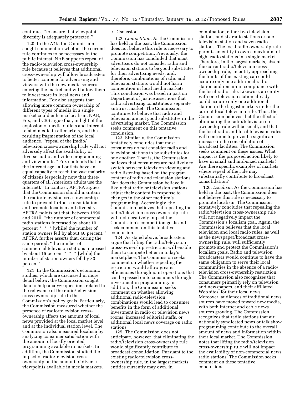continues ''to ensure that viewpoint diversity is adequately protected.''

120. In the *NOI,* the Commission sought comment on whether the current rule continues to be necessary in the public interest. NAB supports repeal of the radio/television cross-ownership rule because it believes that additional cross-ownership will allow broadcasters to better compete for advertising and viewers with the new media sources entering the market and will allow them to invest more in local news and information. Fox also suggests that allowing more common ownership of different types of media in a single market could enhance localism. NAB, Fox, and CBS argue that, in light of the explosion of media outlets and Internetrelated media in all markets, and the resulting fragmentation of the local audience, ''repeal of the [radio/ television cross-ownership] rule will not adversely affect the availability of diverse audio and video programming and viewpoints.'' Fox contends that in the Internet age ''all outlets have an equal capacity to reach the vast majority of citizens (especially now that threequarters of all American adults use the Internet).'' In contrast, AFTRA argues that the Commission should maintain the radio/television cross-ownership rule to prevent further consolidation and promote localism and diversity. AFTRA points out that, between 1996 and 2010, ''the number of commercial radio stations increased by about 10 percent \* \* \* [while] the number of station owners fell by about 40 percent.'' AFTRA further asserts that, during the same period, ''the number of commercial television stations increased by about 15 percent \* \* \* [while] the number of station owners fell by 33 percent.''

121. In the Commission's economic studies, which are discussed in more detail below, the Commission sought data to help analyze questions related to the relevance of the radio/television cross-ownership rule to the Commission's policy goals. Particularly, the Commission measured whether the presence of radio/television crossownership affects the amount of local news provided at the local market level and at the individual station level. The Commission also measured localism by analyzing consumer satisfaction with the amount of locally oriented programming available in markets. In addition, the Commission studied the impact of radio/television crossownership on the amount of diverse viewpoints available in media markets.

# c. Discussion

122. *Competition.* As the Commission has held in the past, the Commission does not believe this rule is necessary to promote competition. Previously, the Commission has concluded that most advertisers do not consider radio and television stations to be good substitutes for their advertising needs, and, therefore, combinations of radio and television stations would not harm competition in local media markets. This conclusion was based in part on Department of Justice assertions that radio advertising constitutes a separate antitrust market. The Commission continues to believe that radio and television are not good substitutes in the advertising market. The Commission seeks comment on this tentative conclusion.

123. Similarly, the Commission tentatively concludes that most consumers do not consider radio and television stations to be substitutes for one another. That is, the Commission believes that consumers are not likely to switch between television viewing and radio listening based on the program content of radio and television stations. Nor does the Commission believe it likely that radio or television stations adjust their content in response to changes in the other medium's programming. Accordingly, the Commission believes that repealing the radio/television cross-ownership rule will not negatively impact the Commission's competition goals and seek comment on this tentative conclusion.

124. As stated above, broadcasters argue that lifting the radio/television cross-ownership restriction will enable them to compete better in today's marketplace. The Commission seeks comment on whether repealing the restriction would allow greater efficiencies through joint operations that can be passed on to consumers through investment in programming. In addition, the Commission seeks comment on whether allowing additional radio-television combinations would lead to consumer benefits in the form of additional investment in radio or television news rooms, increased editorial staffs, or additional local news coverage on radio stations.

125. The Commission does not anticipate, however, that eliminating the radio/television cross-ownership rule would significantly contribute to broadcast consolidation. Pursuant to the existing radio/television crossownership rule, in the largest markets, entities currently may own, in

combination, either two television stations and six radio stations or one television station and seven radio stations. The local radio ownership rule permits an entity to own a maximum of eight radio stations in a single market. Therefore, in the largest markets, absent the current radio/television crossownership rule, an entity approaching the limits of the existing cap could acquire only one additional radio station and remain in compliance with the local radio rule. Likewise, an entity with one television station already could acquire only one additional station in the largest markets under the current local television rule. Thus, the Commission believes that the effect of eliminating the radio/television crossownership rule will be small, and that the local radio and local television rules will continue to prevent a significant increase in the consolidation of broadcast facilities. The Commission seeks comment on these issues. What impact is the proposed action likely to have in small and mid-sized markets? Are there specific examples of markets where repeal of the rule may substantially contribute to broadcast consolidation?

126. *Localism.* As the Commission has held in the past, the Commission does not believe this rule is necessary to promote localism. The Commission tentatively concludes that repealing the radio/television cross-ownership rule will not negatively impact the Commission's localism goal. Again, the Commission believes that the local television and local radio rules, as well as the newspaper/broadcast crossownership rule, will sufficiently promote and protect the Commission's localism goals. Radio and television broadcasters would continue to have the same obligation to serve their local communities in the absence of a radio/ television cross-ownership restriction. The Commission also recognizes that consumers primarily rely on television and newspapers, and their affiliated Web sites, for their local news. Moreover, audiences of traditional news sources have moved toward new media, with both Internet and cable news sources growing. The Commission recognizes that radio stations that air nationally syndicated news or talk show programming contribute to the overall amount of news and information within their local market. The Commission notes that lifting the radio/television cross-ownership rule will not impact the availability of non-commercial news radio stations. The Commission seeks comment on these tentative conclusions.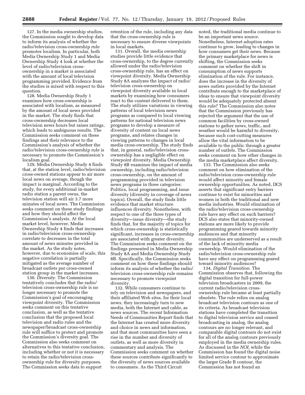127. In the media ownership studies, the Commission sought to develop data to inform its analysis of whether the radio/television cross-ownership rule promotes localism. In particular, both Media Ownership Study 1 and Media Ownership Study 4 look at whether the level of radio/television crossownership in a market is associated with the amount of local television programming provided. Evidence from the studies is mixed with respect to this question.

128. Media Ownership Study 1 examines how cross-ownership is associated with localism, as measured by the amount of local news provided in the market. The study finds that cross-ownership decreases local television news hours but raises ratings, which leads to ambiguous results. The Commission seeks comment on these findings and their relevance to the Commission's analysis of whether the radio/television cross-ownership rule is necessary to promote the Commission's localism goal.

129. Media Ownership Study 4 finds that, at the station level, radio/television cross-owned stations appear to air more local news on average, though the impact is marginal. According to the study, for every additional in-market radio station a parent owns, the television station will air 3.7 more minutes of local news. The Commission seeks comment on these study findings and how they should affect the Commission's analysis. At the local market level, however, Media Ownership Study 4 finds that increases in radio/television cross-ownership correlate to decreases in the total amount of news minutes provided in the market. As the study notes, however, due to economies of scale, this negative correlation is partially mitigated as the average number of broadcast outlets per cross-owned station group in the market increases.

130. *Diversity.* The Commission tentatively concludes that the radio/ television cross-ownership rule is no longer necessary to promote the Commission's goal of encouraging viewpoint diversity. The Commission seeks comment on this tentative conclusion, as well as the tentative conclusion that the proposed local television and radio rules and the newspaper/broadcast cross-ownership rule will suffice to protect and promote the Commission's diversity goal. The Commission also seeks comment on alternatives to this tentative conclusion, including whether or not it is necessary to retain the radio/television crossownership rule for diversity purposes. The Commission seeks data to support

retention of the rule, including any data that the cross-ownership rule is necessary to ensure diverse viewpoints in local markets.

131. Overall, the media ownership studies provide little evidence that cross-ownership, to the degree currently allowed under the radio/television cross-ownership rule, has an effect on viewpoint diversity. Media Ownership Study 8A analyzes the impact of radio/ television cross-ownership on viewpoint diversity available in local markets by examining how consumers react to the content delivered to them. The study utilizes variations in viewing patterns of local television news programs as compared to local viewing patterns for national television news programs to develop a measure of diversity of content on local news programs, and relates changes in viewing patterns to changes in local media cross-ownership. The study finds that, in general, radio/television crossownership has a negligible effect on viewpoint diversity. Media Ownership Study 8B examines the impact of media ownership, including radio/television cross-ownership, on the amount of programming provided in television news programs in three categories: Politics, local programming, and issue diversity (diversity in coverage of news topics). Overall, the study finds little evidence that market structure influences diversity. Nonetheless, with respect to one of the three types of diversity—issue diversity—the study finds that, for the majority of topics for which cross-ownership is statistically significant, increases in cross-ownership are associated with greater diversity. The Commission seeks comment on the findings presented in Media Ownership Study 8A and Media Ownership Study 8B. Specifically, the Commission seeks comment on how these findings should inform its analysis of whether the radio/ television cross-ownership rule remains necessary to promote viewpoint diversity.

132. While consumers continue to rely on television and newspapers, and their affiliated Web sites, for their local news, they increasingly turn to new media, both the Internet and cable, as news sources. The recent Information Needs of Communities Report finds that the Internet has created more diversity and choice in news and information, and that most communities have seen a rise in the number and diversity of outlets, as well as more diversity in commentary and analysis. The Commission seeks comment on whether these sources contribute significantly to the diversity of news sources available to consumers. As the Third Circuit

noted, the traditional media continue to be an important news source. Nonetheless, Internet adoption rates continue to grow, leading to changes in how consumers get their news. Because the primary marketplace for news is shifting, the Commission seeks comment on whether the shift in consumption of news supports elimination of the rule. For instance, does the increase in the diversity of news outlets provided by the Internet contribute enough to the marketplace of ideas to ensure that viewpoint diversity would be adequately protected absent this rule? The Commission also notes that the Commission previously has rejected the argument that the use of common facilities by cross-owned stations to gather news, traffic, and weather would be harmful to diversity, because such cost-cutting measures allow the vital information to be available to the public through a greater number of outlets. The Commission seeks comment on how other changes in the media marketplace affect diversity.

133. The Commission also seeks comment on how elimination of the radio/television cross-ownership rule would affect minority and female ownership opportunities. As noted, DCS asserts that significant entry barriers continue to exist for minorities and women in both the traditional and new media industries. Would elimination of the radio/television cross-ownership rule have any effect on such barriers? DCS also states that minority-owned stations are more likely to provide programming geared towards minority audiences and that minority communities are underserved as a result of the lack of minority media ownership. Would elimination of the radio/television cross-ownership rule have any effect on programming geared toward minority audiences?

134. *Digital Transition.* The Commission observes that, following the digital transition for full-power television broadcasters in 2009, the current radio/television crossownership rule became at least partially obsolete. The rule relies on analog broadcast television contours as one of its criteria. As broadcast television stations have completed the transition to digital television service and ceased broadcasting in analog, the analog contours are no longer relevant, and comparable digital contours do not exist for all of the analog contours previously employed in the media ownership rules. As discussed in the *NOI,* while the Commission has found the digital noise limited service contour to approximate the larger Grade B contour, the Commission has not found an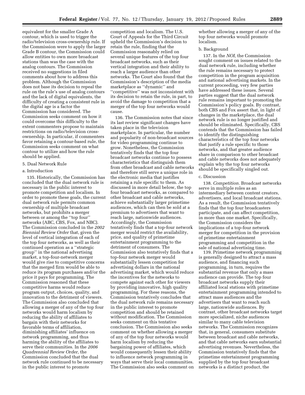equivalent for the smaller Grade A contour, which is used to trigger the radio/television cross-ownership rule. If the Commission were to apply the larger Grade B contour, the Commission could allow entities to own more broadcast stations than was the case with the analog contours. The Commission received no suggestions in filed comments about how to address this problem. Although the Commission does not base its decision to repeal the rule on the rule's use of analog contours and the lack of digital equivalents, the difficulty of creating a consistent rule in the digital age is a factor the Commission has considered. The Commission seeks comment on how it could overcome this difficulty to the extent commenters propose to maintain restrictions on radio/television crossownership. In particular, if commenters favor retaining a contour-based rule, the Commission seeks comment on what contour to utilize and how the rule should be applied.

# 5. Dual Network Rule

#### a. Introduction

135. Historically, the Commission has concluded that the dual network rule is necessary in the public interest to promote competition and localism. In order to promote these goals, the current dual network rule permits common ownership of multiple broadcast networks, but prohibits a merger between or among the ''top four'' networks (ABC, CBS, Fox, and NBC). The Commission concluded in the *2002 Biennial Review Order* that, given the level of vertical integration of each of the top four networks, as well as their continued operation as a ''strategic group'' in the national advertising market, a top-four-network merger would give rise to competitive concerns that the merged firm would be able to reduce its program purchases and/or the price it pays for programming. The Commission reasoned that these competitive harms would reduce program output, choices, quality, and innovation to the detriment of viewers. The Commission also concluded that allowing a merger of any of the top four networks would harm localism by reducing the ability of affiliates to bargain with their networks for favorable terms of affiliation, diminishing affiliates' influence on network programming, and thus harming the ability of the affiliates to serve their communities. In the *2006 Quadrennial Review Order,* the Commission concluded that the dual network rule continued to be necessary in the public interest to promote

competition and localism. The U.S. Court of Appeals for the Third Circuit upheld the Commission's decision to retain the rule, finding that the Commission reasonably relied on several unique features of the top four broadcast networks, such as their vertical integration and their ability to reach a larger audience than other networks. The Court also found that the Commission's description of the media marketplace as ''dynamic'' and ''competitive'' was not inconsistent with its decision to retain the rule, in part, to avoid the damage to competition that a merger of the top four networks would cause.

136. The Commission notes that since its last review significant changes have taken place in the television marketplace. In particular, the number and popularity of non-broadcast sources for video programming continue to grow. Nonetheless, the Commission tentatively finds that the top four broadcast networks continue to possess characteristics that distinguish them from other broadcast and cable networks and therefore still serve a unique role in the electronic media that justifies retaining a rule specific to them. As discussed in more detail below, the top four broadcast networks, as compared to other broadcast and cable networks, achieve substantially larger primetime audiences, which can then be sold at a premium to advertisers that want to reach large, nationwide audiences. Accordingly, the Commission tentatively finds that a top-four network merger would restrict the availability, price, and quality of primetime entertainment programming to the detriment of consumers. The Commission also tentatively finds that a top-four network merger would substantially lessen competition for advertising dollars in the national advertising market, which would reduce the incentives for the networks to compete against each other for viewers by providing innovative, high quality programming. For these reasons, the Commission tentatively concludes that the dual network rule remains necessary in the public interest to promote competition and should be retained without modification. The Commission seeks comment on this tentative conclusion. The Commission also seeks comment on whether allowing a merger of any of the top four networks would harm localism by reducing the bargaining power of affiliates, which would consequently lessen their ability to influence network programming in ways that serve their local communities. The Commission also seeks comment on

whether allowing a merger of any of the top four networks would promote localism.

## b. Background

137. In the *NOI,* the Commission sought comment on issues related to the dual network rule, including whether the rule remains necessary to protect competition in the program acquisition and national advertising markets. In the current proceeding, very few parties have addressed these issues. Several parties suggest that the dual network rule remains important to promoting the Commission's policy goals. By contrast, both CBS and Fox assert that, in light of changes in the marketplace, the dual network rule is no longer justified and should be eliminated. Specifically, CBS contends that the Commission has failed to identify the distinguishing characteristics of the top four networks that justify a rule specific to those networks, and that greater audience share in comparison to other broadcast and cable networks does not adequately explain why the top four networks should be specifically singled out.

# c. Discussion

138. *Competition.* Broadcast networks serve in multiple roles as an intermediary between content creators, advertisers, and local broadcast stations. As a result, the Commission tentatively finds that the top four broadcasters participate, and can affect competition, in more than one market. Specifically, the Commission considers the implications of a top-four network merger for competition in the provision of primetime entertainment programming and competition in the sale of national advertising time.

139. Primetime network programming is generally designed to attract a mass audience, and financing such programming, in turn, requires the substantial revenue that only a mass audience can provide. The top four broadcast networks supply their affiliated local stations with primetime entertainment programming intended to attract mass audiences and the advertisers that want to reach such large, nationwide audiences. By contrast, other broadcast networks target more specialized, niche audiences similar to many cable television networks. The Commission recognizes that, in general, consumers substitute between broadcast and cable networks, and that cable networks earn substantial advertising revenues. Nevertheless, the Commission tentatively finds that the primetime entertainment programming supplied by the top four broadcast networks is a distinct product, the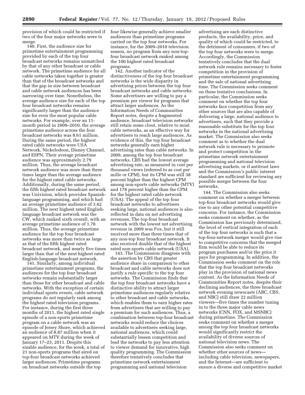provision of which could be restricted if two of the four major networks were to merge.

140. First, the audience size for primetime entertainment programming provided by each of the top four broadcast networks remains unmatched by that of any other broadcast or cable network. The primetime audience for all cable networks taken together is greater than that of the broadcast networks and that the gap in size between broadcast and cable network audiences has been narrowing over time. Nonetheless, the average audience size for each of the top four broadcast networks remains significantly larger than the audience size for even the most popular cable networks. For example, over an 11 month period in 2009–2010, the average primetime audience across the four broadcast networks was 8.61 million. During the same period, the highest rated cable networks were USA Network, Nickelodeon, Disney Channel, and ESPN. Their average primetime audience was approximately 2.79 million. Thus, the average broadcast network audience was more than three times larger than the average audience for the highest rated cable networks. Additionally, during the same period, the fifth highest rated broadcast network was Univision, which provides Spanishlanguage programming, and which had an average primetime audience of 3.62 million. The next highest rated Englishlanguage broadcast network was the CW, which ranked sixth overall, with an average primetime audience of 1.78 million. Thus, the average primetime audience for the top four broadcast networks was more than twice as large as that of the fifth highest rated broadcast network, and nearly five times larger than that of the next highest rated English-language broadcast network.

141. Similarly, among individual primetime entertainment programs, the audiences for the top four broadcast networks remain substantially larger than those for other broadcast and cable networks. With the exception of certain individual sports events, cable network programs do not regularly rank among the highest rated television programs. For instance, during the first three months of 2011, the highest rated single episode of a non-sports primetime program on a cable network was an episode of Jersey Shore, which achieved an audience of 8.87 million when it appeared on MTV during the week of January 17–23, 2011. Despite this sizable audience, for the week, a total of 21 non-sports programs that aired on top-four broadcast networks achieved larger audiences. Primetime programs on broadcast networks outside the top

four likewise generally achieve smaller audiences than primetime programs carried on the top four networks. For instance, for the 2009–2010 television season, no program from any non-topfour broadcast network ranked among the 100 highest rated broadcast programs.

142. Another indicator of the distinctiveness of the top four broadcast networks is the wide disparity in advertising prices between the top four broadcast networks and cable networks. Some advertisers are willing to pay a premium per viewer for programs that attract larger audiences. As the Information Needs of Communities Report notes, despite a fragmented audience, broadcast television networks still retain some clout, relative to most cable networks, as an effective way for advertisers to reach large audiences. As evidence of this, the top four broadcast networks generally earn higher advertising rates than cable networks. In 2009, among the top four broadcast networks, CBS had the lowest average advertising rate, as measured in cost per thousand views (referred to as cost per mille or CPM), but its CPM was still 38 percent higher than the highest CPM among non-sports cable networks (MTV) and 178 percent higher than the CPM for the highest rated cable network (USA). The appeal of the top four broadcast networks to advertisers seeking large, national audiences is also reflected in data on net advertising revenues. The top-four broadcast network with the lowest net advertising revenue in 2009 was Fox, but it still received more than three times that of any non-top four broadcast network. It also received double that of the highest rated non-sports cable network (USA).

143. The Commission disagrees with the assertion by CBS that greater audience share in comparison to other broadcast and cable networks does not justify a rule specific to the top four networks. The Commission finds that the top four broadcast networks have a distinctive ability to attract larger primetime audiences regularly relative to other broadcast and cable networks, which enables them to earn higher rates from advertisers that are willing to pay a premium for such audiences. Thus, a combination between top-four broadcast networks would reduce the choices available to advertisers seeking large, national audiences, which could substantially lessen competition and lead the networks to pay less attention to viewer demand for innovative, high quality programming. The Commission therefore tentatively concludes that primetime network entertainment programming and national television

advertising are each distinctive products, the availability, price, and quality of which could be restricted, to the detriment of consumers, if two of the top four networks were to merge. Accordingly, the Commission tentatively concludes that the dual network rule remains necessary to foster competition in the provision of primetime entertainment programming and the sale of national advertising time. The Commission seeks comment on these tentative conclusions. In particular, the Commission seeks comment on whether the top four networks face competition from any other sources that are also capable of delivering a large, national audience to advertisers, such that they provide a reasonable substitute for the top four networks in the national advertising market. The Commission also seeks comment as to whether the dual network rule is necessary to promote and protect competition in the primetime network entertainment programming and national television advertising markets, or if antitrust laws and the Commission's public interest standard are sufficient for reviewing any possible merger between the four networks.

144. The Commission also seeks comment on whether a merger between top-four broadcast networks would give rise to any other potential competitive concerns. For instance, the Commission seeks comment on whether, as the Commission has previously determined, the level of vertical integration of each of the top four networks is such that a top-four-network merger would give rise to competitive concerns that the merged firm would be able to reduce its program purchases and/or the price it pays for programming. In addition, the Commission seeks comment on the role that the top four broadcast networks play in the provision of national news content. As the Information Needs of Communities Report notes, despite their declining audiences, the three broadcast network evening newscasts (ABC, CBS, and NBC) still draw 22 million viewers—five times the number tuning in to the three major cable news networks (CNN, FOX, and MSNBC) during primetime. The Commission seeks comment on whether a merger among the top four broadcast networks would significantly restrict the availability of diverse sources of national television news. The Commission also seeks comment on whether other sources of news including cable television, newspapers, and the Internet—are sufficient to ensure a diverse and competitive market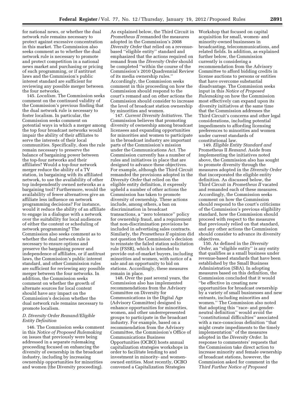for national news, or whether the dual network rule remains necessary to protect against excessive concentration in this market. The Commission also seeks comment as to whether the dual network rule is necessary to promote and protect competition in a national news market and purchasing or pricing of such programming, or if antitrust laws and the Commission's public interest standard are sufficient for reviewing any possible merger between the four networks.

145. *Localism.* The Commission seeks comment on the continued validity of the Commission's previous finding that the dual network rule is necessary to foster localism. In particular, the Commission seeks comment on potential ways in which a merger among the top four broadcast networks would impair the ability of their affiliates to serve the interests of their local communities. Specifically, does the rule remain necessary to preserve the balance of bargaining power between the top-four networks and their affiliates? Would a top-four network merger reduce the ability of a TV station, in bargaining with its affiliated network, to use the availability of other top independently owned networks as a bargaining tool? Furthermore, would the availability of fewer alternatives give an affiliate less influence on network programming decisions? For instance, would it reduce the ability of an affiliate to engage in a dialogue with a network over the suitability for local audiences of either the content or scheduling of network programming? The Commission also seeks comment as to whether the dual network rule is necessary to ensure options and preserve the bargaining power and independence of affiliates, or if antitrust laws, the Commission's public interest standard, and other Commission rules are sufficient for reviewing any possible merger between the four networks. In addition, the Commission seeks comment on whether the growth of alternate sources for local content should have any impact on the Commission's decision whether the dual network rule remains necessary to promote localism.

# *D. Diversity Order Remand/Eligible Entity Definition*

146. The Commission seeks comment in this *Notice of Proposed Rulemaking*  on issues that previously were being addressed in a separate rulemaking proceeding focused on enhancing the diversity of ownership in the broadcast industry, including by increasing ownership opportunities for minorities and women (the Diversity proceeding).

As explained below, the Third Circuit in *Prometheus II* remanded the measures adopted in the Commission's 2008 *Diversity Order* that relied on a revenuebased ''eligible entity'' standard and emphasized that the actions required on remand from the *Diversity Order* should be completed ''within the course of the Commission's 2010 Quadrennial Review of its media ownership rules.'' Accordingly, the Commission seeks comment in this proceeding on how the Commission should respond to the court's remand and on other actions the Commission should consider to increase the level of broadcast station ownership by minorities and women.

147. *Current Diversity Initiatives.* The Commission believes that promoting diversity of ownership among broadcast licensees and expanding opportunities for minorities and women to participate in the broadcast industry are important parts of the Commission's mission under the Communications Act. The Commission currently has a number of rules and initiatives in place that are designed to advance these objectives. For example, although the Third Circuit remanded the provisions adopted in the *Diversity Order* that relied on the eligible entity definition, it expressly upheld a number of other actions the Commission has taken to promote diversity of ownership. These actions include, among others, a ban on discrimination in broadcast transactions, a ''zero tolerance'' policy for ownership fraud, and a requirement that non-discrimination provisions be included in advertising sales contracts. Similarly, the *Prometheus II* opinion did not question the Commission's decision to reinstate the failed station solicitation rule (FSSR), which is intended to provide out-of-market buyers, including minorities and women, with notice of a sale and an opportunity to bid on stations. Accordingly, these measures remain in place.

148. Over the past several years, the Commission also has implemented recommendations from the Advisory Committee on Diversity for Communications in the Digital Age (Advisory Committee) designed to enhance opportunities for minorities, women, and other underrepresented groups to participate in the broadcast industry. For example, based on a recommendation from the Advisory Committee, the Commission's Office of Communications Business Opportunities (OCBO) hosts annual capitalization strategies workshops in order to facilitate lending to and investment in minority- and womenowned entities. Most recently, OCBO convened a Capitalization Strategies

Workshop that focused on capital acquisition for small, women- and minority-owned businesses in broadcasting, telecommunications, and related fields. In addition, as explained further below, the Commission currently is considering a recommendation from the Advisory Committee to afford bidding credits in license auctions to persons or entities that have overcome substantial disadvantage. The Commission seeks input in this *Notice of Proposed Rulemaking* on how the Commission most effectively can expand upon its diversity initiatives at the same time that the Commission addresses the Third Circuit's concerns and other legal considerations, including potential impediments to affording licensing preferences to minorities and women under current standards of constitutional law.

149. *Eligible Entity Standard and*  Prometheus II *Remand.* Aside from implementing the initiatives noted above, the Commission also has sought to promote diversity through the measures adopted in the *Diversity Order*  that incorporated the eligible entity definition. As discussed below, the Third Circuit in *Prometheus II* vacated and remanded each of these measures. Accordingly, the Commission seeks comment on how the Commission should respond to the court's criticisms of the Commission's previous eligibility standard, how the Commission should proceed with respect to the measures that previously relied on that standard, and any other actions the Commission should consider to advance its diversity objectives.

150. As defined in the *Diversity Order,* an ''eligible entity'' is any entity that qualifies as a small business under revenue-based standards that have been established by the Small Business Administration (SBA). In adopting measures based on this definition, the Commission concluded that it would ''be effective in creating new opportunities for broadcast ownership by a variety of small businesses and new entrants, including minorities and women.'' The Commission also noted that adopting this ''race- and genderneutral definition'' would avoid the ''constitutional difficulties'' associated with a race-conscious definition ''that might create impediments to the timely implementation'' of the measures adopted in the *Diversity Order.* In response to commenters' requests that the Commission take direct action to increase minority and female ownership of broadcast stations, however, the Commission asked for comment in the *Third Further Notice of Proposed*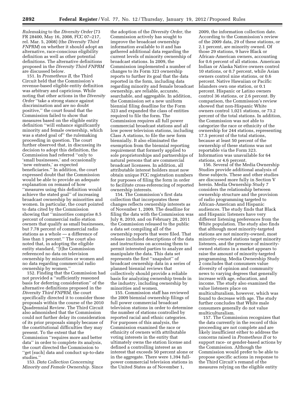*Rulemaking* to the *Diversity Order* (73 FR 28400, May 16, 2008, FCC 07–217, rel. Mar. 5, 2008) (the *Diversity Third FNPRM*) on whether it should adopt an alternative, race-conscious eligibility definition as well as other potential definitions. The alternative definitions proposed in the *Diversity Third FNPRM*  are discussed below.

151. In *Prometheus II,* the Third Circuit held that the Commission's revenue-based eligible entity definition was arbitrary and capricious. While noting that other actions in the *Diversity Order* ''take a strong stance against discrimination and are no doubt positive,'' the court found that the Commission failed to show that measures based on the eligible entity definition ''will enhance significantly minority and female ownership, which was a stated goal of'' the rulemaking proceeding in question. The court further observed that, in discussing its decision to adopt this definition, the Commission had referred ''only to 'small businesses,' and occasionally 'new entrants,' as expected beneficiaries.'' In addition, the court expressed doubt that the Commission would be able to provide an adequate explanation on remand of how ''measures using this definition would achieve the stated goal'' of increasing broadcast ownership by minorities and women. In particular, the court pointed to data cited by the Commission showing that ''minorities comprise 8.5 percent of commercial radio station owners that qualify as small businesses, but 7.78 percent of commercial radio stations as a whole — a difference of less than 1 percent.'' The court also noted that, in adopting the eligible entity standard, ''[t]he Commission referenced no data on television ownership by minorities or women and no data regarding commercial radio ownership by women.''

152. Finding that the Commission had not provided a ''sufficiently reasoned basis for deferring consideration'' of the alternative definitions proposed in the *Diversity Third FNPRM,* the court specifically directed it to consider those proposals within the course of the 2010 Quadrennial Review. The Third Circuit also admonished that the Commission could not further delay its consideration of its prior proposals simply because of the constitutional difficulties they may present. To the extent that the Commission ''requires more and better data'' in order to complete its analysis, the court directed the Commission to ''get [such] data and conduct up-to-date studies.''

153. *Data Collection Concerning Minority and Female Ownership.* Since

the adoption of the *Diversity Order,* the Commission actively has sought to improve the broadcast ownership information available to it and has gathered additional data regarding the current levels of minority ownership of broadcast stations. In 2009, the Commission implemented a number of changes to its Form 323 ownership reports to further its goal that the data reported in the form, including data regarding minority and female broadcast ownership, are reliable, accurate, searchable, and aggregable. In addition, the Commission set a new uniform biennial filing deadline for the Form 323 and expanded the class of entities required to file the form. The Commission requires all full power commercial broadcast stations and all low power television stations, including Class A stations, to file the new form biennially. It also eliminated the exemption from the biennial reporting requirement that formerly applied to sole proprietorships and partnerships of natural persons that are commercial broadcast licensees. In addition, all attributable interest holders must now obtain unique FCC registration numbers for purposes of filing the form in order to facilitate cross-referencing of reported ownership interests.

154. The Commission's first data collection that incorporates these changes reflects ownership interests as of November 1, 2009. The deadline for filing the data with the Commission was July 8, 2010, and on February 28, 2011 the Commission released to the public a data set compiling all of the ownership reports that were filed. That release included descriptions of the data and instructions on accessing them to permit interested parties to analyze and manipulate the data. This data set represents the first ''snapshot'' of broadcast ownership data in a series of planned biennial reviews that collectively should provide a reliable basis for analyzing ownership trends in the industry, including ownership by minorities and women.

155. Commission staff has reviewed the 2009 biennial ownership filings of full power commercial broadcast television stations in order to determine the number of stations controlled by reported racial and ethnic categories. For purposes of this analysis, the Commission examined the race or ethnicity of owners with attributable voting interests in the entity that ultimately owns the station license and defined a controlling interest as an interest that exceeds 50 percent alone or in the aggregate. There were 1,394 fullpower commercial television stations in the United States as of November 1,

2009, the information collection date. According to the Commission's review of the 2009 data, 29 of these stations, or 2.1 percent, are minority owned. Of those 29 stations, 9 have Black or African-American owners, accounting for 0.6 percent of all stations. American Indian or Alaska Native owners control 10 stations, or 0.7 percent, while Asian owners control nine stations, or 0.6 percent. Native Hawaiian or Pacific Islanders own one station, or 0.1 percent. Hispanic or Latino owners control 36 stations, or 2.6 percent. By comparison, the Commission's review showed that non-Hispanic White owners control 1,021 stations, or 73.2 percent of the total stations. In addition, the Commission was not able to categorize the race or ethnicity of the ownership for 244 stations, representing 17.5 percent of the total stations, because at least 50 percent of the ownership of these stations was not reportable via the Form 323. Information was unavailable for 64 stations, or 4.6 percent.

156. Several of the Media Ownership Studies provide additional analysis of these subjects. These and other studies are discussed more fully in Section V herein. Media Ownership Study 7 considers the relationship between ownership structure and the provision of radio programming targeted to African-American and Hispanic audiences. The study finds that Black and Hispanic listeners have very different listening preferences from the White population. The study also finds that although most minority-targeted stations are not minority-owned, most minority-owned stations target minority listeners, and the presence of minorityowned stations in a market appears to raise the amount of minority-targeted programming. Media Ownership Study 2 concludes that consumers value diversity of opinion and community news to varying degrees that generally increase with age, education, and income. The study also examined the value listeners place on multiculturalism, however, which was found to decrease with age. The study further concludes that White male consumers generally do not value multiculturalism.

157. The Commission recognizes that the data currently in the record of this proceeding are not complete and are likely insufficient either to address the concerns raised in *Prometheus II* or to support race- or gender-based actions by the Commission. Although the Commission would prefer to be able to propose specific actions in response to the Third Circuit's remand of the measures relying on the eligible entity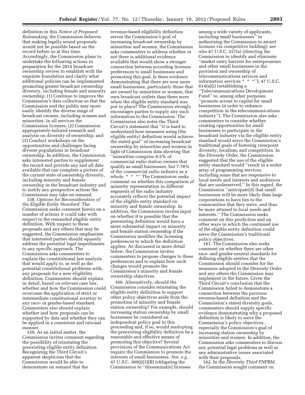definition in this *Notice of Proposed Rulemaking,* the Commission believes that making legally sound proposals would not be possible based on the record before us at this time. Accordingly, the Commission plans to undertake the following actions in preparation for the 2014 broadcast ownership review to establish with the requisite foundation and clarity what additional policies can be implemented promoting greater broadcast ownership diversity, including female and minority ownership: (1) Continue to improve the Commission's data collection so that the Commission and the public may more easily identify the diverse range of broadcast owners, including women and minorities, in all services the Commission licenses; (2) Commission appropriately-tailored research and analysis on diversity of ownership; and (3) Conduct workshops on the opportunities and challenges facing diverse populations in broadcast ownership. In addition, the Commission asks interested parties to supplement the record and provide any and all data available that can complete a picture of the current state of ownership diversity, including minority and female ownership in the broadcast industry and to justify any prospective actions the Commission may take on remand.

158. *Options for Reconsideration of the Eligible Entity Standard.* The Commission seeks comment herein on a number of actions it could take with respect to the remanded eligible entity definition. With respect to these proposals and any others that may be suggested, the Commission emphasizes that interested parties should squarely address the potential legal impediments to any specific approach. The Commission asks commenters to explain the constitutional law analysis that would apply to, as well as the potential constitutional problems with, any proposals for a new eligibility definition. Commenters should explain in detail, based on relevant case law, whether and how the Commission could overcome the application of strict or intermediate constitutional scrutiny to any race- or gender-based standard. Commenters also should explain whether and how proposals can be supported by data and whether they can be applied in a consistent and rational manner.

159. As an initial matter, the Commission invites comment regarding the possibility of reinstating the preexisting eligible entity definition. Recognizing the Third Circuit's apparent skepticism that the Commission would be able to demonstrate on remand that the

revenue-based eligibility definition serves the Commission's goal of increasing broadcast ownership by minorities and women, the Commission asks commenters to address whether or not there is additional evidence available that would show a stronger connection between according licenses preferences to small businesses and promoting this goal. Is there evidence demonstrating that there are now more small businesses, particularly those that are owned by minorities or women, that own broadcast outlets than there were when the eligible entity standard was put in place? The Commission strongly encourages parties to supply any such information to the Commission. The Commission also notes the Third Circuit's statement that ''it is hard to understand how measures using [the eligible entity] definition would achieve the stated goal'' of increasing broadcast ownership by minorities and women in light of Commission data showing that ''minorities comprise 8.5% of commercial radio station owners that qualify as small businesses, but 7.78% of the commercial radio industry as a whole. \* \* \*'' The Commission seeks comment on whether this comparison of minority representation in different segments of the radio industry accurately reflects the potential impact of the eligible entity standard on minority and female ownership. In addition, the Commission invites input on whether it is possible that the preexisting definition would have a more substantial impact on minority and female station ownership if the Commission modifies the licensing preferences to which the definition applies. As discussed in more detail below, the Commission invites commenters to propose changes to these preferences and to explain how such changes would promote the Commission's minority and female ownership objectives.

160. Alternatively, should the Commission consider reinstating the eligible entity definition to support other policy objectives aside from the promotion of minority and female station ownership? For example, should increasing station ownership by small businesses be considered an independent policy goal in this proceeding and, if so, would readopting the preexisting eligibility definition be a reasonable and effective means of promoting this objective? Several provisions of the Communications Act require the Commission to promote the interests of small businesses. *See, e.g.,*  47 U.S.C. 309(j)(3)(B) (obligating the Commission to ''disseminat[e] licenses

among a wide variety of applicants, including small businesses'' in authorizing the Commission to award licenses via competitive bidding); *see also* 47 U.S.C. 257(a) (directing the Commission to identify and eliminate ''market entry barriers for entrepreneurs and other small businesses in the provision and ownership of telecommunications services and information services \* \* \*''); 47 U.S.C. 614(a)(i) (establishing a ''Telecommunications Development Fund'' to, among other purposes, ''promote access to capital for small businesses in order to enhance competition in the telecommunications industry''). The Commission also asks commenters to consider whether creating opportunities for small businesses to participate in the broadcast industry via the eligible entity standard would serve the Commission's traditional goals of fostering viewpoint diversity, localism, and competition. In the *Diversity Order,* the Commission suggested that the use of the eligible entity standard would ''result in a wider array of programming services, including some that are responsive to local needs and interests and audiences that are underserved.'' In this regard, the Commission ''anticipate[d] that small businesses will be more likely than large corporations to have ties to the communities that they serve, and thus be more attuned to local needs and interests.'' The Commission seeks comment on this prediction and on other ways in which the continued use of the eligible entity definition could serve the Commission's traditional policy objectives.

161. The Commission also seeks comment on whether there are other race- and gender-neutral standards for defining eligible entities that the Commission should consider for the measures adopted in the *Diversity Order*  and any others the Commission may implement in the future. Given the Third Circuit's conclusion that the Commission failed to demonstrate a connection between the previous revenue-based definition and the Commission's stated diversity goals, commenters should supply specific evidence demonstrating why a proposed definition is likely to serve the Commission's policy objectives, especially the Commission's goal of increasing station ownership by minorities and women. In addition, the Commission asks commenters to discuss any potential legal problems as well as any administrative issues associated with their proposals.

162. In the *Diversity Third FNPRM,*  the Commission sought comment on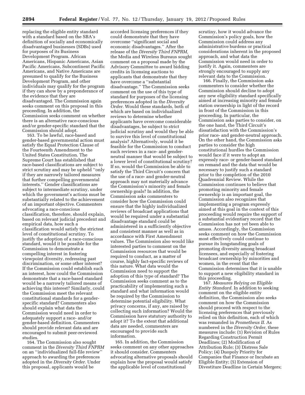replacing the eligible entity standard with a standard based on the SBA's definition of socially and economically disadvantaged businesses (SDBs) used for purposes of its Business Development Program. African Americans, Hispanic Americans, Asian Pacific Americans, Subcontinent Pacific Americans, and Native Americans are presumed to qualify for the Business Development Program, and other individuals may qualify for the program if they can show by a preponderance of the evidence that they are disadvantaged. The Commission again seeks comment on this proposal in this proceeding. In addition, the Commission seeks comment on whether there is an alternative race-conscious and/or gender-specific standard that the Commission should adopt.

163. To be lawful, race-based and gender-based governmental action must satisfy the Equal Protection Clause of the Fourteenth Amendment to the United States Constitution. The Supreme Court has established that race-based classifications are subject to strict scrutiny and may be upheld ''only if they are narrowly tailored measures that further compelling governmental interests.'' Gender classifications are subject to intermediate scrutiny, under which the government's actions must be substantially related to the achievement of an important objective. Commenters advocating a race-conscious classification, therefore, should explain, based on relevant judicial precedent and empirical data, how such a classification would satisfy the strictest level of constitutional scrutiny. To justify the adoption of a race-conscious standard, would it be possible for the Commission to demonstrate a compelling interest in fostering viewpoint diversity, redressing past discrimination, or some other interest? If the Commission could establish such an interest, how could the Commission demonstrate that a race-based standard would be a narrowly tailored means of achieving this interest? Similarly, could the Commission meet the relevant constitutional standards for a genderspecific standard? Commenters also should explain what data the Commission would need in order to adequately support a race- and/or gender-based definition. Commenters should provide relevant data and are encouraged to submit peer-reviewed studies.

164. The Commission also sought comment in the *Diversity Third FNPRM*  on an ''individualized full-file review'' approach to awarding the preferences adopted in the *Diversity Order.* Under this proposal, applicants would be

accorded licensing preferences if they could demonstrate that they have overcome ''significant social and economic disadvantages.'' After the release of the *Diversity Third FNPRM,*  the Media and Wireless Bureaus sought comment on a proposal made by the Advisory Committee to award bidding credits in licensing auctions to applicants that demonstrate that they have overcome a ''substantial disadvantage.'' The Commission seeks comment on the use of this type of standard for purposes of the licensing preferences adopted in the *Diversity Order.* Would these standards, both of which are based on individualized reviews to determine whether applicants have overcome considerable disadvantages, be subject to strict judicial scrutiny and would they be able to survive this level of constitutional analysis? Alternatively, would it be feasible for the Commission to conduct such reviews in a race- and genderneutral manner that would be subject to a lower level of constitutional scrutiny? If so, would the Commission be able to satisfy the Third Circuit's concern that the use of a race- and gender-neutral approach may not materially advance the Commission's minority and female ownership goals? In addition, the Commission asks commenters to consider how the Commission could ensure that the highly individualized reviews of broadcast applications that would be required under a substantial disadvantage standard could be administered in a sufficiently objective and consistent manner as well as in accordance with First Amendment values. The Commission also would like interested parties to comment on the Commission resources that would be required to conduct, as a matter of course, highly fact-specific reviews of this nature. What data would the Commission need to support the adoption of this type of standard? The Commission seeks comment as to the practicability of implementing such a standard and what information would be required by the Commission to determine potential eligibility. What privacy concerns, if any, are raised by collecting such information? Would the Commission have statutory authority to adopt it? To the extent that additional data are needed, commenters are encouraged to provide such information.

165. In addition, the Commission seeks comment on any other approaches it should consider. Commenters advocating alternative proposals should explain how the proposal would satisfy the applicable level of constitutional

scrutiny, how it would advance the Commission's policy goals, how the Commission could address any administrative burdens or practical considerations inherent in the proposed approach, and what data the Commission would need in order to justify it. Again, commenters are strongly encouraged to supply any relevant data to the Commission.

166. Finally, the Commission asks commenters to consider whether the Commission should decline to adopt any new eligibility standard specifically aimed at increasing minority and female station ownership in light of the record in front of the Commission in this proceeding. In particular, the Commission asks parties to consider, on the one hand, the Third Circuit's dissatisfaction with the Commission's prior race- and gender-neutral approach. On the other hand, the Commission asks parties to consider the high constitutional hurdles the Commission would face if it were to adopt an expressly race- or gender-based standard on remand and the data that would be necessary to justify such a standard prior to the completion of the 2010 Quadrennial Review. While the Commission continues to believe that promoting minority and female ownership is an important goal, the Commission also recognizes that implementing a program expressly aimed at this goal in the context of this proceeding would require the support of a substantial evidentiary record that the Commission has not yet been able to amass. Accordingly, the Commission seeks comment on how the Commission most effectively could continue to pursue its longstanding goals of promoting diversity among broadcast licensees, and especially of fostering broadcast ownership by minorities and women, in the event that the Commission determines that it is unable to support a new eligibility standard in this proceeding.

167. *Measures Relying on Eligible Entity Standard.* In addition to seeking comment on the eligible entity definition, the Commission also seeks comment on how the Commission should proceed with respect to the licensing preferences that previously relied on this definition, each of which was remanded in *Prometheus II.* As numbered in the *Diversity Order,* these measures include: (1) Revision of Rules Regarding Construction Permit Deadlines; (2) Modification of Attribution Rule; (3) Distress Sale Policy; (4) Duopoly Priority for Companies that Finance or Incubate an Eligible Entity; (5) Extension of Divestiture Deadline in Certain Mergers;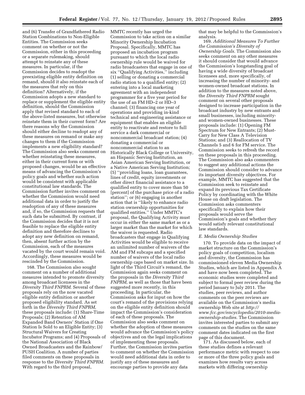and (6) Transfer of Grandfathered Radio Station Combinations to Non-Eligible Entities. The Commission seeks comment on whether or not the Commission, either in this proceeding or a separate rulemaking, should attempt to reinstate any of these measures. In particular, if the Commission decides to readopt the preexisting eligible entity definition on remand, should it also reinstate each of the measures that rely on this definition? Alternatively, if the Commission adopts a new standard to replace or supplement the eligible entity definition, should the Commission apply that revised standard to each of the above-listed measures, but otherwise reinstate them in their current form? Are there reasons why the Commission should either decline to readopt any of these measures on remand or make any changes to them if the Commission implements a new eligibility standard? The Commission also seeks comment on whether reinstating these measures, either in their current form or with proposed changes, would be an effective means of advancing the Commission's policy goals and whether such action would be consistent with applicable constitutional law standards. The Commission further invites comment on whether the Commission would need additional data in order to justify the readoption of any of these measures and, if so, the Commission requests that such data be submitted. By contrast, if the Commission decides that it is not feasible to replace the eligible entity definition and therefore declines to adopt any new definition on remand, then, absent further action by the Commission, each of the measures vacated by the court would remain void. Accordingly, these measures would be rescinded by the Commission.

168. The Commission also sought comment on a number of additional measures intended to promote diversity among broadcast licensees in the *Diversity Third FNPRM.* Several of these proposals rely on the now vacated eligible entity definition or another proposed eligibility standard. As set forth in the *Diversity Third FNPRM,*  these proposals include: (1) Share-Time Proposals; (2) Retention of AM Expanded Band Owners' Station if One Station Is Sold to an Eligible Entity; (3) Structural Waivers for Creating Incubator Programs; and (4) Proposals of the National Association of Black Owned Broadcasters and the Rainbow/ PUSH Coalition. A number of parties filed comments on these proposals in response to the *Diversity Third FNPRM.*  With regard to the third proposal,

MMTC recently has urged the Commission to take action on a similar Minority Ownership Incubation Proposal. Specifically, MMTC has proposed an incubation program pursuant to which the local radio ownership rule would be waived for radio broadcasters that engage in one of six ''Qualifying Activities,'' including (1) selling or donating a commercial radio station to a qualified entity; (2) entering into a local marketing agreement with an independent programmer for a five year period for the use of an FM HD–2 or HD–3 channel; (3) financing one year of operations and providing in-kind technical and engineering assistance or equipment that enables an eligible entity to reactivate and restore to full service a dark commercial or noncommercial broadcast station; (4) donating a commercial or noncommercial station to an Historically Black College or University, an Hispanic Serving Institution, an Asian American Serving Institution, or a Native American Serving Institution; (5) ''providing loans, loan guarantees, lines of credit, equity investments or other direct financial assistance to a qualified entity to cover more than 50 [percent] of the purchase price of a radio station''; or (6) engaging in another action that is ''likely to enhance radio station ownership opportunities for qualified entities.'' Under MMTC's proposal, the Qualifying Activity must occur in either the same market as or a larger market than the market for which the waiver is requested. Radio broadcasters that engage in Qualifying Activities would be eligible to receive an unlimited number of waivers of the AM and FM subcaps and a specified number of waivers of the local radio ownership caps based on market size. In light of the Third Circuit's remand, the Commission again seeks comment on the proposals in the *Diversity Third FNPRM,* as well as those that have been suggested more recently, in this proceeding. In particular, the Commission asks for input on how the court's remand of the provisions relying on the eligible entity definition should impact the Commission's consideration of each of these proposals. The Commission also seeks comment on whether the adoption of these measures would advance the Commission's policy objectives and on the legal implications of implementing these proposals. Further, the Commission invites parties to comment on whether the Commission would need additional data in order to justify any of these measures and encourage parties to provide any data

that may be helpful to the Commission's analysis.

169. *Additional Measures To Further the Commission's Diversity of Ownership Goals.* The Commission also seeks comment on any other measures it should consider that would advance the Commission's longstanding goal of having a wide diversity of broadcast licensees and, more specifically, of increasing the number of minority- and women-owned broadcast stations. In addition to the measures noted above, the *Diversity Third FNPRM* sought comment on several other proposals designed to increase participation in the broadcast industry by new entrants and small businesses, including minorityand women-owned businesses. These proposals include: (1) Opening FM Spectrum for New Entrants; (2) Must-Carry for New Class A Television Stations; and (3) Reallocation of TV Channels 5 and 6 for FM service. The Commission seeks to refresh the record on these proposals in this proceeding. The Commission also asks commenters to suggest any additional actions the Commission should consider to advance its important diversity objectives. For example, MMTC has suggested that the Commission seek to reinstate and expand its previous Tax Certificate Policy by coordinating with the White House on draft legislation. The Commission asks commenters specifically to explain how their proposals would serve the Commission's goals and whether they would satisfy relevant constitutional law standards.

#### *E. Media Ownership Studies*

170. To provide data on the impact of market structure on the Commission's policy goals of competition, localism and diversity, the Commission has commissioned eleven Media Ownership Studies, which are listed in Appendix A and have now been completed. The economic studies were completed and subject to formal peer review during the period January to July 2011. The studies, peer reviews, and author comments on the peer reviews are available on the Commission's media ownership Web site at *[http://](http://www.fcc.gov/encyclopedia/2010-media-ownership-studies)  [www.fcc.gov/encyclopedia/2010-media](http://www.fcc.gov/encyclopedia/2010-media-ownership-studies)[ownership-studies.](http://www.fcc.gov/encyclopedia/2010-media-ownership-studies)* The Commission invites interested parties to submit any comments on the studies on the same comment dates indicated on the first page of this document.

171. As discussed below, each of these studies defines a relevant performance metric with respect to one or more of the three policy goals and examines how results vary across markets with differing ownership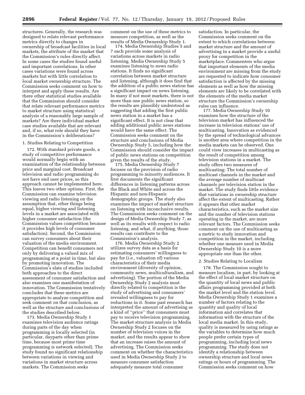structures. Generally, the research was designed to relate relevant performance metrics directly to changes in ownership of broadcast facilities in local markets, the attribute of the market that the Commission's rules directly affect. In some cases the studies found useful and important correlations. In other cases variations were found across markets but with little correlation to local market ownership structure. The Commission seeks comment on how to interpret and apply these results. Are there other statistical studies available that the Commission should consider that relate relevant performance metrics to market structure using statistical analysis of a reasonably large sample of markets? Are there individual market case studies available that are relevant and, if so, what role should they have in the Commission's deliberations?

#### 1. Studies Relating to Competition

172. With standard private goods, a study of competitive performance would normally begin with an examination of the relationship between price and marginal cost. Broadcast television and radio programming do not have end user prices, so this approach cannot be implemented here. This leaves two other options. First, the Commission can examine television viewing and radio listening on the assumption that, other things being equal, higher viewing and listening levels in a market are associated with higher consumer satisfaction (the Commission values competition because it provides high levels of consumer satisfaction). Second, the Commission can survey consumers about their valuation of the media environment. Competition can benefit consumers not only by delivering a valued mix of programming at a point in time, but also by promoting innovation. The Commission's slate of studies included both approaches to the direct assessment of consumer satisfaction and also examines one manifestation of innovation. The Commission tentatively concludes that these metrics are appropriate to analyze competition and seek comment on that conclusion, as well as the structure and conclusions of the studies described below.

173. Media Ownership Study 1 examines television audience ratings during parts of the day when programming is locally selected (in particular, dayparts other than prime time, because most prime time programming is network selected). The study found no significant relationship between variations in viewing and variations in market structure across markets. The Commission seeks

comment on the use of these metrics to measure competition, as well as the results of Media Ownership Study 1.

174. Media Ownership Studies 5 and 7 each provide some analysis of variations across markets in radio listening. Media Ownership Study 5 examines listening to news radio stations. It finds no significant correlation between market structure and listening, although it does find that the addition of a public news station has a significant impact on news listening. In many if not most markets, there is not more than one public news station, so the results are plausibly understood as suggesting that adding the first public news station in a market has a significant effect. It is not clear that adding additional public news stations would have the same effect. The Commission seeks comment on the structure and conclusions of Media Ownership Study 5, including how the Commission should consider the impact of public news stations on competition given the results of the study.

175. Media Ownership Study 7 focuses on the provision of radio programming to minority audiences. It first documents the significant differences in listening patterns across the Black and White and across the Hispanic and non-Hispanic demographic groups. The study also examines the impact of market structure on listening with inconclusive results. The Commission seeks comment on the design of Media Ownership Study 7, as well as its results with respect to radio listening, and what, if anything, those results can contribute to the Commission's analysis.

176. Media Ownership Study 2 utilizes survey data as a basis for estimating consumers' willingness to pay for (*i.e.,* valuation of) various characteristics of their media environment (diversity of opinion, community news, multiculturalism, and advertising). The portion of the Media Ownership Study 2 analysis most directly related to competition is the study of advertising and consumers' revealed willingness to pay for reductions in it. Some past research has interpreted the amount of advertising as a kind of ''price'' that consumers must pay to receive television programming. The market structure analysis in Media Ownership Study 2 focuses on the number of television voices in the market, and the results appear to show that an increase raises the amount of advertising. The Commission seeks comment on whether the characteristics used in Media Ownership Study 2 to measure consumer satisfaction adequately measure total consumer

satisfaction. In particular, the Commission seeks comment on the extent to which correlations between market structure and the amount of advertising in a market provide a useful proxy for competition in the marketplace. Commenters who argue that important elements of the media environment are missing from the study are requested to indicate how consumer satisfaction is affected by the missing elements as well as how the missing elements are likely to be correlated with the elements of the media market structure the Commission's ownership rules can influence.

177. Media Ownership Study 10 examines how the structure of the television market has influenced the increase in television stations' use of multicasting. Innovation as evidenced by the spread of technological advances is another area where competition in the media markets can be observed. One could view increases in multicasting as the result of competition among television stations in a market. The study offers two measures of multicasting: The total number of multicast channels in the market and the average number of multicast channels per television station in the market. The study finds little evidence that variations in ownership structure affect the extent of multicasting. Rather it appears that other market characteristics, such as the market size and the number of television stations operating in the market, are more relevant factors. The Commission seeks comment on the use of multicasting as a metric to study innovation and competition in the market, including whether one measure used in Media Ownership Study 10 is a more appropriate one than the other.

#### 2. Studies Relating to Localism

178. The Commission sought to measure localism, in part, by looking at the effect of local market structure on the quantity of local news and public affairs programming provided at both the market level and the station level. Media Ownership Study 1 examines a number of factors relating to the quantity and quality of local information and correlates that information with the structure of the local media market. In this study, quality is measured by using ratings as the variables to determine how much people prefer certain types of programming, including local news programming. The study does not identify a relationship between ownership structure and local news ratings or hours of programming. The Commission seeks comment on how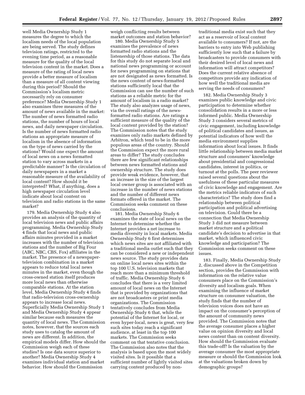well Media Ownership Study 1 measures the degree to which the localism needs of the local population are being served. The study defines television ratings, restricted to the evening time period, as a reasonable measure for the quality of the local television content in the market. Does a measure of the rating of local news provide a better measure of localism than a measure of all content viewing during this period? Should the Commission's localism metric necessarily rely on consumer preference? Media Ownership Study 1 also examines three measures of the amount of news available in the market: The number of news formatted radio stations, the number of hours of local news, and daily newspaper circulation. Is the number of news formatted radio stations an appropriate measure of localism in the absence of information on the type of news carried by the stations? Would one expect the amount of local news on a news formatted station to vary across markets in a predictable manner? Is the circulation of daily newspapers in a market a reasonable measure of the availability of local content? How should it be interpreted? What, if anything, does a high newspaper circulation level indicate about local content on television and radio stations in the same market?

179. Media Ownership Study 4 also provides an analysis of the quantity of local television news and public affairs programming. Media Ownership Study 4 finds that local news and public affairs minutes provided in a market increases with the number of television stations and the number of Big Four (ABC, NBC, CBS, Fox) affiliates in the market. The presence of a newspapertelevision combination in a market appears to reduce total local news minutes in the market, even though the cross-owned station itself produces more local news than otherwise comparable stations. At the station level, Media Ownership Study 4 finds that radio-television cross-ownership appears to increase local news. Superficially Media Ownership Study 1 and Media Ownership Study 4 appear similar because each measures the quantity of local news. The Commission notes, however, that the sources each study uses to catalog the amount of news are different. In addition, the empirical models differ. How should the Commission weigh each of these studies? Is one data source superior to another? Media Ownership Study 4 examines individual station and market behavior. How should the Commission

weigh conflicting results between market outcomes and station behavior?

180. Media Ownership Study 5 examines the prevalence of news formatted radio stations and the listenership of those stations. The data for this study do not separate local and national news programming or account for news programming on stations that are not designated as news formatted. Is the news content of news-formatted stations sufficiently local that the Commission can use the number of such stations as a reliable metric for the amount of localism in a radio market? The study also analyzes usage of news, via the overall ratings of the newsformatted radio stations. Are ratings a sufficient measure of the quality of the local content provided by the station? The Commission notes that the study examines only radio markets defined by Arbitron, which tend to be in the more populous areas of the country. Should the Commission expect the more rural areas to differ? The study concludes there are few significant relationships between news formatted stations and ownership structure. The study does provide weak evidence, however, that an increase in the size of the largest local owner group is associated with an increase in the number of news stations and the number of different news formats offered in the market. The Commission seeks comment on these conclusions.

181. Media Ownership Study 6 examines the state of local news on the Internet to determine whether the Internet provides a net increase to media diversity in local markets. Media Ownership Study 6 first determines which news sites are not affiliated with a traditional media outlet such that they can be considered a new or independent news source. The study provides data on online local news sites within the top 100 U.S. television markets that reach more than a minimum threshold of traffic. Media Ownership Study 6 concludes that there is a very limited amount of local news on the Internet that is provided by organizations that are not broadcasters or print media organizations. The Commission tentatively concludes from Media Ownership Study 6 that, while the potential of the Internet for local, or even hyper-local, news is great, very few such sites today reach a significant audience, at least in the top 100 markets. The Commission seeks comment on that tentative conclusion. The Commission also notes that the analysis is based upon the most widely visited sites. Is it possible that a sufficient number of lightly visited sites carrying content produced by non-

traditional media exist such that they act as a reservoir of local content available to consumers? If not, are the barriers to entry into Web publishing sufficiently low such that a failure by broadcasters to provide consumers with their desired level of local news and information will attract competitors? Does the current relative absence of competitors provide any indication of how well the traditional media are serving the needs of consumers?

182. Media Ownership Study 3 examines public knowledge and civic participation to determine whether consolidation results in a more or less informed public. Media Ownership Study 3 considers several metrics of civic engagement, including knowledge of political candidates and issues, as potential indicators of how well the media environment supplies information about local issues. It finds little relationship between media market structure and consumers' knowledge about presidential and congressional candidates, interest in politics, or turnout at the polls. The peer reviewer raised several questions about the usefulness of these particular measures of civic knowledge and engagement. Are the metrics reliable indicators of such characteristics? The study does find a relationship between political participation and political advertising on television. Could there be a connection that Media Ownership Study 3 did not measure between market structure and a political candidate's decision to advertise in that market, which influenced civic knowledge and participation? The Commission seeks comment on these issues.

183. Finally, Media Ownership Study 2, discussed above in the Competition section, provides the Commission with information on the relative value consumers place on the Commission's diversity and localism goals. When examining the influence of market structure on consumer valuation, the study finds that the number of television voices does not have an impact on the consumer's perception of the amount of community news provided. The Commission notes that the average consumer places a higher value on opinion diversity and local news content than on content diversity. How should the Commission evaluate this trade-off? Is the valuation by the average consumer the most appropriate measure or should the Commission look at the valuations broken down by demographic groups?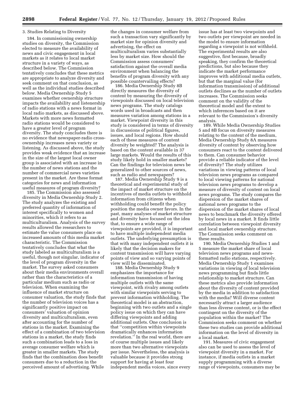#### 3. Studies Relating to Diversity

184. In commissioning ownership studies on diversity, the Commission elected to measure the availability of news and civic engagement in local markets as it relates to local market structure in a variety of ways, as described below. The Commission tentatively concludes that these metrics are appropriate to analyze diversity and seek comment on that conclusion, as well as the individual studies described below. Media Ownership Study 5 examines whether ownership structure impacts the availability and listenership of radio stations with a news format in local radio markets, as discussed above. Markets with more news formatted radio stations would be considered to have a greater level of program diversity. The study concludes there is no evidence that newspaper-radio crossownership increases news variety or listening. As discussed above, the study provides weak evidence that an increase in the size of the largest local owner group is associated with an increase in the number of news stations and the number of commercial news varieties present in the market. Are these format categories for news and information useful measures of program diversity?

185. The Commission also assessed diversity in Media Ownership Study 2. The study analyzes the existing and preferred quantity of information of interest specifically to women and minorities, which it refers to as multiculturalism. Analysis of the survey results allowed the researchers to estimate the value consumers place on increased amounts of this media market characteristic. The Commission tentatively concludes that what the study labeled as multiculturalism is a useful, though not singular, indicator of the level of program diversity in the market. The survey asked consumers about their media environments overall rather than the characteristics of a particular medium such as radio or television. When examining the influence of market structure on consumer valuation, the study finds that the number of television voices has a significantly positive impact on consumers' valuation of opinion diversity and multiculturalism, even after accounting for the number of stations in the market. Examining the effect of a combination of two television stations in a market, the study finds such a combination leads to a loss in average consumer welfare which is greater in smaller markets. The study finds that the combination does benefit consumers due to a reduction in the perceived amount of advertising. While

the changes in consumer welfare from such a transaction vary significantly by market size for opinion diversity and advertising, the effect on multiculturalism varies substantially less by market size. How should the Commission assess consumers' satisfaction against the overall media environment when balancing the benefits of program diversity with any possible countervailing effects?

186. Media Ownership Study 8B directly measures the diversity of content by measuring the diversity of viewpoints discussed on local television news programs. The study catalogs words used in broadcasts and then measures variation among stations in a market. Viewpoint diversity in this study is considered in terms of diversity in discussions of political figures, issues, and local regions. How should each of these measures of content diversity be weighted? The analysis is based on the content available in 37 large markets. Would the results of this study likely hold in smaller markets? Can the findings for television news be generalized to other sources of news, such as radio and newspapers?

187. Media Ownership Study 9 is a theoretical and experimental study of the impact of market structure on the incentives of media outlets to withhold information from citizens when withholding could benefit the policy position the media owner favors. In the past, many analyses of market structure and diversity have focused on the idea that, to ensure a wide range of viewpoints are provided, it is important to have multiple independent media outlets. The underlying presumption is that with many independent outlets it is likely that the decision makers for content transmission will have varying points of view and so varying points of view will be disseminated.

188. Media Ownership Study 9 emphasizes the importance for information transmission of having multiple outlets with the same viewpoint, with rivalry among outlets with similar viewpoints serving to prevent information withholding. The theoretical model is an abstraction, beginning with two outlets and a single policy issue on which they can have differing viewpoints and adding additional outlets. One conclusion is that ''competition within viewpoints dramatically enhances information revelation.'' In the real world, there are of course multiple issues and likely more than two alternative viewpoints per issue. Nevertheless, the analysis is valuable because it provides strong support for having at least four independent media voices, since every

issue has at least two viewpoints and two outlets per viewpoint are needed in the model to ensure information regarding a viewpoint is not withheld. The experimental results are also suggestive, first because, broadly speaking, they confirm the theoretical predictions, but also because they indicate the market performance improves with additional media outlets, but that the marginal value (for information transmission) of additional outlets declines as the number of outlets increases. The Commission seeks comment on the validity of the theoretical model and the extent to which inferences based on it are relevant to the Commission's diversity analysis.

189. While Media Ownership Studies 5 and 8B focus on diversity measures relating to the content of the medium, Media Ownership Study 8A measures diversity of content by observing how consumers react to the content delivered to them. Can consumer behavior provide a reliable indicator of the level of diversity? The study utilizes variations in viewing patterns of local television news programs as compared to local viewing patterns for national television news programs to develop a measure of diversity of content on local news programs. The study compares the dispersion of the market shares of national news programs to the dispersion of the market shares of local news to benchmark the diversity offered by local news in a market. It finds little correlation between viewpoint diversity and local market ownership structure. The Commission seeks comment on these results.

190. Media Ownership Studies 1 and 5 measure the market share of local television news programs and newsformatted radio stations, respectively. Media Ownership Study 1 examines variations in viewing of local television news programming but finds little relationship to market structure. Can these metrics also provide information about the diversity of content provided by the media in addition to satisfaction with the media? Will diverse content necessarily attract a larger audience than less diverse content, or is the effect contingent on the diversity of the population within the market? The Commission seeks comment on whether these two studies can provide additional information on the level of diversity in a local market.

191. Measures of civic engagement also can be used to assess the level of viewpoint diversity in a market. For instance, if media outlets in a market supply programming with a diverse range of viewpoints, consumers may be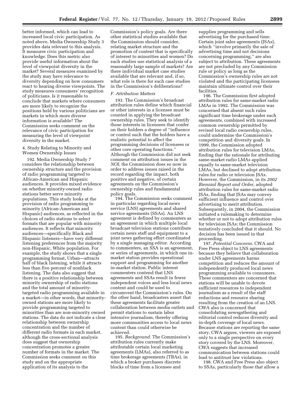better informed, which can lead to increased local civic participation. As noted above, Media Ownership Study 3 provides data relevant to this analysis. It measures civic participation and knowledge. Does this metric also provide useful information about the level of viewpoint diversity in the market? Several measures examined by the study may have relevance to diversity depending on how consumers react to hearing diverse viewpoints. The study measures consumers' recognition of politicians. Is it reasonable to conclude that markets where consumers are more likely to recognize the positions held by various politicians are markets in which more diverse information is available? The Commission seeks comment on the relevance of civic participation for measuring the level of viewpoint diversity in the market.

# 4. Study Relating to Minority and Women Ownership Issues

192. Media Ownership Study 7 considers the relationship between ownership structure and the provision of radio programming targeted to African-American and Hispanic audiences. It provides mixed evidence on whether minority-owned radio stations better serve minority populations. This study looks at the provision of radio programming to minority (African-American and Hispanic) audiences, as reflected in the choices of radio stations to select formats that are popular with minority audiences. It reflects that minority audiences—specifically Black and Hispanic listeners—have very different listening preferences from the majority non-Hispanic, White population. For example, the study shows that a single programming format, Urban—attracts half of black listening, while it attracts less than five percent of nonblack listening. The data also suggest that there is a positive relationship between minority ownership of radio stations and the total amount of minoritytargeted radio programming available in a market—in other words, that minorityowned stations are more likely to provide programming targeted to minorities than are non-minority owned stations. The data do not indicate a clear relationship between ownership concentration and the number of different radio formats in each market, although the cross-sectional analysis does suggest that ownership concentration promotes a greater number of formats in the market. The Commission seeks comment on this study and on the appropriate application of its analysis to the

Commission's policy goals. Are there other statistical studies available that the Commission should consider, relating market structure and the promotion of content that is specifically of interest to minorities and women? Do such studies use statistical analysis of a reasonably large sample of markets? Are there individual market case studies available that are relevant and, if so, what role is there for such case studies in the Commission's deliberations?

# *F. Attribution Matters*

193. The Commission's broadcast attribution rules define which financial or other interests in a licensee must be counted in applying the broadcast ownership rules. They seek to identify those interests in licensees that confer on their holders a degree of ''influence or control such that the holders have a realistic potential to affect the programming decisions of licensees or other core operating functions.'' Although the Commission did not seek comment on attribution issues in the *NOI,* the Commission does so now in order to address issues raised in the record regarding the impact, both positive and negative, of certain agreements on the Commission's ownership rules and fundamental policy goals.

194. The Commission seeks comment in particular regarding local news service (LNS) agreements and shared service agreements (SSAs). An LNS agreement is defined by commenters as an agreement in which multiple local broadcast television stations contribute certain news staff and equipment to a joint news gathering effort coordinated by a single managing editor. According to commenters, an SSA is an agreement, or series of agreements, in which one inmarket station provides operational support and programming for another in-market station. Public interest commenters contend that LNS agreements and SSAs result in fewer independent voices and less local news content and could be used to circumvent the Commission's rules. On the other hand, broadcasters assert that these agreements facilitate greater collaboration between media outlets and permit stations to sustain labor intensive journalism, thereby offering more communities access to local news content than could otherwise be achieved.

195. *Background.* The Commission's attribution rules currently make attributable certain local marketing agreements (LMAs), also referred to as time brokerage agreements (TBAs), in which a broker purchases discrete blocks of time from a licensee and

supplies programming and sells advertising for the purchased time. Certain joint sales agreements (JSAs), which ''involve primarily the sale of advertising time and not decisions concerning programming,'' are also subject to attribution. These agreements are not precluded by any Commission rule or policy as long as the Commission's ownership rules are not violated and the participating licensees maintain ultimate control over their facilities.

196. The Commission first adopted attribution rules for same-market radio LMAs in 1992. The Commission was concerned that absent such rules significant time brokerage under such agreements, combined with increased common ownership permitted by revised local radio ownership rules, could undermine the Commission's competition and diversity goals. In 1999, the Commission adopted attribution rules for television LMAs, finding that the rationale for attributing same-market radio LMAs applied equally to same-market television LMAs, but declined to adopt attribution rules for radio or television JSAs. However, the Commission, in its *2002 Biennial Report and Order,* adopted attribution rules for same-market radio JSAs, finding that JSAs may convey sufficient influence and control over advertising to merit attribution. Subsequently, in 2004, the Commission initiated a rulemaking to determine whether or not to adopt attribution rules for television JSAs; the Commission tentatively concluded that it should. No decision has been issued in that proceeding.

197. *Potential Concerns.* CWA and Free Press object to LNS agreements because they believe that collaboration under LNS agreements harms competition and reduces the amount of independently produced local news programming available to consumers. These commenters are concerned that stations will be unable to devote sufficient resources to independent journalism as a result of the staff reductions and resource sharing resulting from the creation of an LNS. CWA also is concerned that consolidating newsgathering and editorial control reduces diversity and in-depth coverage of local news. Because stations are reporting the same story, CWA argues, viewers are exposed only to a single perspective on every story covered by the LNS. Moreover, CWA suggests that increased communication between stations could lead to antitrust law violations.

198. CWA and Free Press also object to SSAs, particularly those that allow a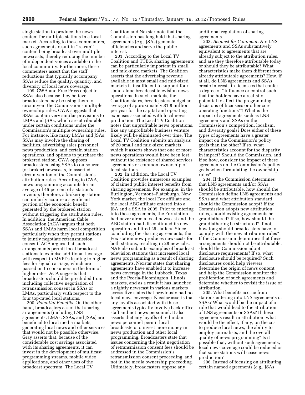single station to produce the news content for multiple stations in a local market. According to these commenters, such agreements result in ''re-run'' content being broadcast over multiple newscasts, thereby reducing the number of independent voices available in the local community. Furthermore, these commenters assert that the staff reductions that typically accompany SSAs reduce the quality, quantity, and diversity of local news coverage.

199. CWA and Free Press object to SSAs also because they believe broadcasters may be using them to circumvent the Commission's multiple ownership rules. CWA suggests that SSAs contain very similar provisions to LMAs and JSAs, which are attributable under certain conditions under the Commission's multiple ownership rules. For instance, like many LMAs and JSAs, SSAs may involve the sharing of facilities, advertising sales personnel, news production, and certain station operations, and options to purchase the brokered station. CWA opposes broadcasters using SSAs to outsource (or broker) newscasts, in asserted circumvention of the Commission's attribution rules. According to CWA, news programming accounts for an average of 45 percent of a station's revenue; therefore, a brokering station can unfairly acquire a significant portion of the economic benefit generated by the brokered station without triggering the attribution rules. In addition, the American Cable Association (ACA) argues that both SSAs and LMAs harm local competition particularly when they permit stations to jointly negotiate retransmission consent. ACA argues that such arrangements permit local broadcast stations to exercise additional leverage with respect to MVPDs leading to higher fees for signal carriage, which are passed on to consumers in the form of higher rates. ACA suggests that broadcasters should be precluded from including collective negotiation of retransmission consent in SSAs or LMAs, particularly with respect to the four top-rated local stations.

200. *Potential Benefits.* On the other hand, broadcasters assert that sharing arrangements (including LNS agreements, LMAs, SSAs, and JSAs) are beneficial to local media markets, generating local news and other services that would not be possible otherwise. Gray asserts that, because of the considerable cost savings associated with its sharing agreements, it can invest in the development of multicast programming streams, mobile video applications, and other uses of the broadcast spectrum. The Local TV

Coalition and Nexstar note that the Commission has long held that sharing agreements (*e.g.,* JSAs) generate efficiencies and serve the public interest.

201. According to the Local TV Coalition and TTBG, sharing agreements can be particularly important in small and mid-sized markets. The Coalition asserts that the advertising revenue available in most small and mid-sized markets is insufficient to support four stand-alone broadcast television news operations. In such markets, the Coalition states, broadcasters budget an average of approximately \$1.8 million per year for the capital and operating expenses associated with local news production. The Local TV Coalition notes that unprofitable news operations, like any unprofitable business venture, likely will be eliminated over time. The Local TV Coalition submits an analysis of 20 small and mid-sized markets, which it asserts shows that one or more news operations would have been lost without the existence of shared services agreements or common ownership of local stations.

202. In addition, the Local TV Coalition provides numerous examples of claimed public interest benefits from sharing agreements. For example, in the Burlington, Vermont–Plattsburgh, New York market, the local Fox affiliate and the local ABC affiliate entered into a JSA and a SSA in 2005. Prior to entering into these agreements, the Fox station had never aired a local newscast and the ABC station had discontinued its news operation and fired 25 staffers. Since concluding the sharing agreements, the Fox station now produces newscasts for both stations, resulting in 28 new jobs. NAB also submits examples of broadcast television stations that increased local news programming as a result of sharing agreements. Nexstar states that sharing agreements have enabled it to increase news coverage in the Lubbock, Texas and the Peoria-Bloomington, Illinois markets, and as a result it has launched a nightly newscast in various markets across five states that previously had no local news coverage. Nexstar asserts that any layoffs associated with these agreements typically involve back-office staff and not news personnel. It also asserts that any layoffs of redundant news personnel permit local broadcasters to invest more money in news production and other local programming. Broadcasters state that issues concerning the joint negotiation of retransmission consent fees should be addressed in the Commission's retransmission consent proceeding, and not in the media ownership proceeding. Ultimately, broadcasters oppose any

additional regulation of sharing agreements.

203. *Request for Comment.* Are LNS agreements and SSAs substantively equivalent to agreements that are already subject to the attribution rules, and are they therefore attributable today or should they be attributable? What characteristics make them different from already attributable agreements? How, if at all, do LNS agreements and SSAs create interests in licensees that confer a degree of ''influence or control such that the holders have a realistic potential to affect the programming decisions of licensees or other core operating functions''? What is the impact of agreements such as LNS agreements and SSAs on the Commission's competition, localism, and diversity goals? Does either of these types of agreements have a greater impact on the Commission's policy goals than the other? If so, what characteristics account for the disparity in impact? Should the Commission, and if so how, consider the impact of these agreements on the Commission's policy goals when formulating the ownership rules?

204. If the Commission determines that LNS agreements and/or SSAs should be attributable, how should the Commission define LNS agreements and SSAs and what attribution standard should the Commission adopt? If the Commission adopts new attribution rules, should existing agreements be grandfathered? If so, how should the grandfathering be structured? If not, how long should broadcasters have to comply with the new attribution rules? If the Commission determines that these arrangements should not be attributable, should the Commission adopt disclosure requirements? If so, what disclosure should be required? Such disclosures could help viewers determine the origin of news content and help the Commission monitor the proliferation of such agreements and determine whether to revisit the issue of attribution.

205. What benefits accrue from stations entering into LNS agreements or SSAs? What would be the impact of a rule that would lead to the attribution of LNS agreements or SSAs? If these agreements result in attribution, what would be the effect, if any, on the cost to produce local news, the ability to employ journalists, and the overall quality of news programming? Is it possible that, without such agreements, local news coverage could be reduced or that some stations will cease news production?

206. Instead of focusing on attributing certain named agreements (*e.g.,* JSAs,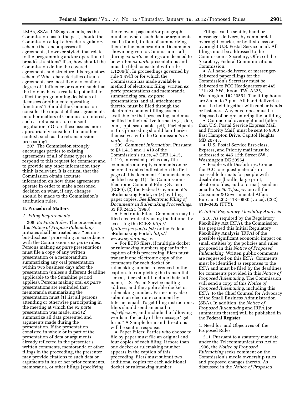LMAs, SSAs, LNS agreements) as the Commission has in the past, should the Commission adopt a broader regulatory scheme that encompasses all agreements, however styled, that relate to the programming and/or operation of broadcast stations? If so, how should the Commission define the covered agreements and structure this regulatory scheme? What characteristics of such agreements are most likely to confer a degree of ''influence or control such that the holders have a realistic potential to affect the programming decisions of licensees or other core operating functions''? Should the Commission consider the impact of these agreements on other matters of Commission interest, such as retransmission consent negotiations? Or are these issues more appropriately considered in another context, such as the retransmission proceeding?

207. The Commission strongly encourages parties to existing agreements of all of these types to respond to this request for comment and to provide any other information they think is relevant. It is critical that the Commission obtain accurate information on how these agreements operate in order to make a reasoned decision on what, if any, changes should be made to the Commission's attribution rules.

#### **II. Procedural Matters**

# *A. Filing Requirements*

208. *Ex Parte Rules.* The proceeding this *Notice of Propose Rulemaking*  initiates shall be treated as a ''permitbut-disclose'' proceeding in accordance with the Commission's *ex parte* rules. Persons making *ex parte* presentations must file a copy of any written presentation or a memorandum summarizing any oral presentation within two business days after the presentation (unless a different deadline applicable to the Sunshine period applies). Persons making oral *ex parte*  presentations are reminded that memoranda summarizing the presentation must (1) list all persons attending or otherwise participating in the meeting at which the *ex parte*  presentation was made, and (2) summarize all data presented and arguments made during the presentation. If the presentation consisted in whole or in part of the presentation of data or arguments already reflected in the presenter's written comments, memoranda or other filings in the proceeding, the presenter may provide citations to such data or arguments in his or her prior comments, memoranda, or other filings (specifying

the relevant page and/or paragraph numbers where such data or arguments can be found) in lieu of summarizing them in the memorandum. Documents shown or given to Commission staff during *ex parte* meetings are deemed to be written *ex parte* presentations and must be filed consistent with rule 1.1206(b). In proceedings governed by rule 1.49(f) or for which the Commission has made available a method of electronic filing, written *ex parte* presentations and memoranda summarizing oral *ex parte*  presentations, and all attachments thereto, must be filed through the electronic comment filing system available for that proceeding, and must be filed in their native format (*e.g.,* .doc, .xml, .ppt, searchable .pdf). Participants in this proceeding should familiarize themselves with the Commission's *ex parte* rules.

209. *Comment Information.* Pursuant to §§ 1.415 and 1.419 of the Commission's rules, 47 CFR 1.415, 1.419, interested parties may file comments and reply comments on or before the dates indicated on the first page of this document. Comments may be filed using: (1) The Commission's Electronic Comment Filing System (ECFS), (2) the Federal Government's eRulemaking Portal, or (3) by filing paper copies. *See Electronic Filing of Documents in Rulemaking Proceedings,*  63 FR 24121 (1998).

• Electronic Filers: Comments may be filed electronically using the Internet by accessing the ECFS: *[http://](http://fjallfoss.fcc.gov/ecfs2/)  [fjallfoss.fcc.gov/ecfs2/](http://fjallfoss.fcc.gov/ecfs2/)* or the Federal eRulemaking Portal: *[http://](http://www.regulations.gov) [www.regulations.gov.](http://www.regulations.gov)* 

• For ECFS filers, if multiple docket or rulemaking numbers appear in the caption of this proceeding, filers must transmit one electronic copy of the comments for each docket or rulemaking number referenced in the caption. In completing the transmittal screen, filers should include their full name, U.S. Postal Service mailing address, and the applicable docket or rulemaking number. Parties may also submit an electronic comment by Internet email. To get filing instructions, filers should send an email to *[ecfs@fcc.gov,](mailto:ecfs@fcc.gov)* and include the following words in the body of the message ''get form.'' A Sample form and directions will be sent in response.

• Paper Filers: Parties who choose to file by paper must file an original and four copies of each filing. If more than one docket or rulemaking number appears in the caption of this proceeding, filers must submit two additional copies for each additional docket or rulemaking number.

Filings can be sent by hand or messenger delivery, by commercial overnight courier, or by first-class or overnight U.S. Postal Service mail. All filings must be addressed to the Commission's Secretary, Office of the Secretary, Federal Communications Commission.

• All hand-delivered or messengerdelivered paper filings for the Commission's Secretary must be delivered to FCC Headquarters at 445 12th St. SW., Room TW–A325, Washington, DC 20554. The filing hours are 8 a.m. to 7 p.m. All hand deliveries must be held together with rubber bands or fasteners. Any envelopes must be disposed of before entering the building.

• Commercial overnight mail (other than U.S. Postal Service Express Mail and Priority Mail) must be sent to 9300 East Hampton Drive, Capitol Heights, MD 20743.

• U.S. Postal Service first-class, Express, and Priority mail must be addressed to 445 12th Street SW., Washington DC 20554.

• People with Disabilities: Contact the FCC to request materials in accessible formats for people with disabilities (braille, large print, electronic files, audio format), send an emailto *[fcc504@fcc.gov](mailto:fcc504@fcc.gov)* or call the Consumer & Governmental Affairs Bureau at 202–418–0530 (voice), (202) 418–0432 (TTY).

#### *B. Initial Regulatory Flexibility Analysis*

210. As required by the Regulatory Flexibility Act (RFA), the Commission has prepared this Initial Regulatory Flexibility Analysis (IRFA) of the possible significant economic impact on small entities by the policies and rules proposed in this *Notice of Proposed Rulemaking.* Written public comments are requested on this IRFA. Comments must be identified as responses to the IRFA and must be filed by the deadlines for comments provided in this *Notice of Proposed Rulemaking.* The Commission will send a copy of this *Notice of Proposed Rulemaking,* including this IRFA, to the Chief Counsel for Advocacy of the Small Business Administration (SBA). In addition, the *Notice of Proposed Rulemaking* and IRFA (or summaries thereof) will be published in the **Federal Register**.

# 1. Need for, and Objectives of, the Proposed Rules

211. Pursuant to a statutory mandate under the Telecommunications Act of 1996, the *Notice of Proposed Rulemaking* seeks comment on the Commission's media ownership rules and proposed changes thereto. As discussed in the *Notice of Proposed*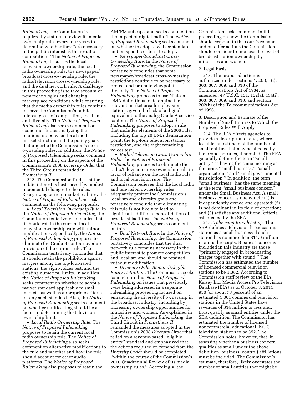*Rulemaking,* the Commission is required by statute to review its media ownership rules every four years to determine whether they ''are necessary in the public interest as the result of competition.'' The *Notice of Proposed Rulemaking* discusses the local television ownership rule, the local radio ownership rule, the newspaper/ broadcast cross-ownership rule, the radio/television cross-ownership rule, and the dual network rule. A challenge in this proceeding is to take account of new technologies and changing marketplace conditions while ensuring that the media ownership rules continue to serve the Commission's public interest goals of competition, localism, and diversity. The *Notice of Proposed Rulemaking* also seeks comment on economic studies analyzing the relationship between local media market structure and the policy goals that underlie the Commission's media ownership rules. In addition, the *Notice of Proposed Rulemaking* seeks comment in this proceeding on the aspects of the Commission's 2008 *Diversity Order* that the Third Circuit remanded in *Prometheus II.* 

212. The Commission finds that the public interest is best served by modest, incremental changes to the rules. Recognizing current market realities, the *Notice of Proposed Rulemaking* seeks comment on the following proposals:

• *Local Television Ownership Rule.* In the *Notice of Proposed Rulemaking,* the Commission tentatively concludes that it should retain the current local television ownership rule with minor modifications. Specifically, the *Notice of Proposed Rulemaking* proposes to eliminate the Grade B contour overlap provision of the current rule. The Commission tentatively concludes that it should retain the prohibition against mergers among the top-four-rated stations, the eight-voices test, and the existing numerical limits. In addition, the *Notice of Proposed Rulemaking*  seeks comment on whether to adopt a waiver standard applicable to small markets, as well as appropriate criteria for any such standard. Also, the *Notice of Proposed Rulemaking* seeks comment on whether multicasting should be a factor in determining the television ownership limits.

• *Local Radio Ownership Rule.* The *Notice of Proposed Rulemaking*  proposes to retain the current local radio ownership rule. The *Notice of Proposed Rulemaking* also seeks comment on alternative modifications to the rule and whether and how the rule should account for other audio platforms. The *Notice of Proposed Rulemaking* also proposes to retain the

AM/FM subcaps, and seeks comment on the impact of digital radio. The *Notice of Proposed Rulemaking* seeks comment on whether to adopt a waiver standard and on specific criteria to adopt.

• *Newspaper/Broadcast Cross-Ownership Rule.* In the *Notice of Proposed Rulemaking,* the Commission tentatively concludes that some newspaper/broadcast cross-ownership restrictions continue to be necessary to protect and promote viewpoint diversity. The *Notice of Proposed Rulemaking* proposes to use Nielsen DMA definitions to determine the relevant market area for television stations, given the lack of a digital equivalent to the analog Grade A service contour. The *Notice of Proposed Rulemaking* proposes to adopt a rule that includes elements of the 2006 rule, including the top 20 DMA demarcation point, the top-four television station restriction, and the eight remaining voices test.

• *Radio/Television Cross-Ownership Rule.* The *Notice of Proposed Rulemaking* proposes to eliminate the radio/television cross-ownership rule in favor of reliance on the local radio rule and local television rule. The Commission believes that the local radio and television ownership rules adequately protect the Commission's localism and diversity goals and tentatively conclude that eliminating this rule is not likely to lead to significant additional consolidation of broadcast facilities. The *Notice of Proposed Rulemaking* seeks comment on this.

• *Dual Network Rule.* In the *Notice of Proposed Rulemaking,* the Commission tentatively concludes that the dual network rule remains necessary in the public interest to promote competition and localism and should be retained without modification.

• *Diversity Order Remand/Eligible Entity Definition.* The Commission seeks comment in this *Notice of Proposed Rulemaking* on issues that previously were being addressed in a separate rulemaking proceeding focused on enhancing the diversity of ownership in the broadcast industry, including by increasing ownership opportunities for minorities and women. As explained in the *Notice of Proposed Rulemaking,* the Third Circuit in *Prometheus II*  remanded the measures adopted in the Commission's 2008 *Diversity Order* that relied on a revenue-based ''eligible entity'' standard and emphasized that the actions required on remand from the *Diversity Order* should be completed ''within the course of the Commission's 2010 Quadrennial Review of its media ownership rules.'' Accordingly, the

Commission seeks comment in this proceeding on how the Commission should respond to the court's remand and on other actions the Commission should consider to increase the level of broadcast station ownership by minorities and women.

#### 2. Legal Basis

213. The proposed action is authorized under sections 1, 2(a), 4(i), 303, 307, 309, and 310 of the Communications Act of 1934, as amended, 47 U.S.C. 151, 152(a), 154(i), 303, 307, 309, and 310, and section 202(h) of the Telecommunications Act of 1996.

3. Description and Estimate of the Number of Small Entities to Which the Proposed Rules Will Apply

214. The RFA directs agencies to provide a description of and, where feasible, an estimate of the number of small entities that may be affected by the proposed rules, if adopted. The RFA generally defines the term ''small entity'' as having the same meaning as the terms ''small business,'' ''small organization,'' and ''small governmental jurisdiction.'' In addition, the term 'small business'' has the same meaning as the term ''small business concern'' under the Small Business Act. A small business concern is one which: (1) Is independently owned and operated; (2) is not dominant in its field of operation; and (3) satisfies any additional criteria established by the SBA.

215. *Television Broadcasting.* The SBA defines a television broadcasting station as a small business if such station has no more than \$14.0 million in annual receipts. Business concerns included in this industry are those ''primarily engaged in broadcasting images together with sound.'' The Commission has estimated the number of licensed commercial television stations to be 1,382. According to Commission staff review of the BIA Kelsey Inc. Media Access Pro Television Database (BIA) as of October 3, 2011, 950 (or about 73 percent) of an estimated 1,301 commercial television stations in the United States have revenues of \$14 million or less and, thus, qualify as small entities under the SBA definition. The Commission has estimated the number of licensed noncommercial educational (NCE) television stations to be 392. The Commission notes, however, that, in assessing whether a business concern qualifies as small under the above definition, business (control) affiliations must be included. The Commission's estimate, therefore, likely overstates the number of small entities that might be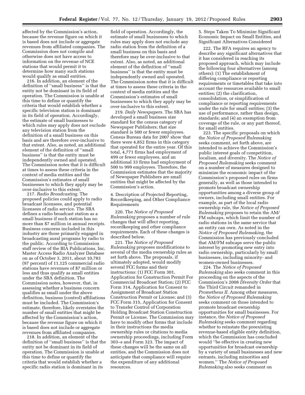affected by the Commission's action, because the revenue figure on which it is based does not include or aggregate revenues from affiliated companies. The Commission does not compile and otherwise does not have access to information on the revenue of NCE stations that would permit it to determine how many such stations would qualify as small entities.

216. In addition, an element of the definition of ''small business'' is that the entity not be dominant in its field of operation. The Commission is unable at this time to define or quantify the criteria that would establish whether a specific television station is dominant in its field of operation. Accordingly, the estimate of small businesses to which rules may apply does not exclude any television station from the definition of a small business on this basis and are therefore over-inclusive to that extent. Also, as noted, an additional element of the definition of ''small business'' is that the entity must be independently owned and operated. The Commission notes that it is difficult at times to assess these criteria in the context of media entities and the Commission's estimates of small businesses to which they apply may be over-inclusive to this extent.

217. *Radio Broadcasting.* The proposed policies could apply to radio broadcast licensees, and potential licensees of radio service. The SBA defines a radio broadcast station as a small business if such station has no more than \$7 million in annual receipts. Business concerns included in this industry are those primarily engaged in broadcasting aural programs by radio to the public. According to Commission staff review of the BIA Publications, Inc. Master Access Radio Analyzer Database on as of October 3, 2011, about 10,783 (97 percent) of 11,125 commercial radio stations have revenues of \$7 million or less and thus qualify as small entities under the SBA definition. The Commission notes, however, that, in assessing whether a business concern qualifies as small under the above definition, business (control) affiliations must be included. The Commission's estimate, therefore, likely overstates the number of small entities that might be affected by the Commission's action, because the revenue figure on which it is based does not include or aggregate revenues from affiliated companies.

218. In addition, an element of the definition of ''small business'' is that the entity not be dominant in its field of operation. The Commission is unable at this time to define or quantify the criteria that would establish whether a specific radio station is dominant in its

field of operation. Accordingly, the estimate of small businesses to which rules may apply does not exclude any radio station from the definition of a small business on this basis and therefore may be over-inclusive to that extent. Also, as noted, an additional element of the definition of ''small business'' is that the entity must be independently owned and operated. The Commission notes that it is difficult at times to assess these criteria in the context of media entities and the Commission's estimates of small businesses to which they apply may be over-inclusive to this extent.

219. *Daily Newspapers.* The SBA has developed a small business size standard for the census category of Newspaper Publishers; that size standard is 500 or fewer employees. Census Bureau data for 2007 show that there were 4,852 firms in this category that operated for the entire year. Of this total, 4,771 firms had employment of 499 or fewer employees, and an additional 33 firms had employment of 500 to 999 employees. Therefore, the Commission estimates that the majority of Newspaper Publishers are small entities that might be affected by the Commission's action.

4. Description of Projected Reporting, Recordkeeping, and Other Compliance Requirements

220. The *Notice of Proposed Rulemaking* proposes a number of rule changes that will affect reporting, recordkeeping and other compliance requirements. Each of these changes is described below.

221. The *Notice of Proposed Rulemaking* proposes modifications to several of the media ownership rules as set forth above. The proposals, if ultimately adopted, would modify several FCC forms and their instructions: (1) FCC Form 301, Application for Construction Permit For Commercial Broadcast Station; (2) FCC Form 314, Application for Consent to Assignment of Broadcast Station Construction Permit or License; and (3) FCC Form 315, Application for Consent to Transfer Control of Corporation Holding Broadcast Station Construction Permit or License. The Commission may have to modify other forms that include in their instructions the media ownership rules or citations to media ownership proceedings, including Form 303–s and Form 323. The impact of these changes will be the same on all entities, and the Commission does not anticipate that compliance will require the expenditure of any additional resources.

5. Steps Taken To Minimize Significant Economic Impact on Small Entities, and Significant Alternatives Considered

222. The RFA requires an agency to describe any significant alternatives that it has considered in reaching its proposed approach, which may include the following four alternatives (among others): (1) The establishment of differing compliance or reporting requirements or timetables that take into account the resources available to small entities; (2) the clarification, consolidation, or simplification of compliance or reporting requirements under the rule for small entities; (3) the use of performance, rather than design, standards; and (4) an exemption from coverage of the rule, or any part thereof, for small entities.

223. The specific proposals on which the *Notice of Proposed Rulemaking*  seeks comment, set forth above, are intended to achieve the Commission's public interest goals of competition, localism, and diversity. The *Notice of Proposed Rulemaking* seeks comment on a number of measures designed to minimize the economic impact of the Commission's proposed rules on firms generally, as well as those intended to promote broadcast ownership opportunities among a diverse group of owners, including small entities. For example, as part of the local radio ownership rule, the *Notice of Proposed Rulemaking* proposes to retain the AM/ FM subcaps, which limit the number of radio stations in the same service that an entity can own. As noted in the *Notice of Proposed Rulemaking,* the Commission has previously concluded that AM/FM subcaps serve the public interest by promoting new entry into radio ownership, particularly by small businesses, including minority- and women-owned businesses.

224. The *Notice of Proposed Rulemaking* also seeks comment in this proceeding on the aspects of the Commission's 2008 *Diversity Order* that the Third Circuit remanded in *Prometheus II.* Among other measures, the *Notice of Proposed Rulemaking*  seeks comment on those intended to promote broadcast ownership opportunities for small businesses. For instance, the *Notice of Proposed Rulemaking* seeks comment regarding whether to reinstate the preexisting revenue-based eligible entity definition, which the Commission has concluded would ''be effective in creating new opportunities for broadcast ownership by a variety of small businesses and new entrants, including minorities and women.'' The *Notice of Proposed Rulemaking* also seeks comment on